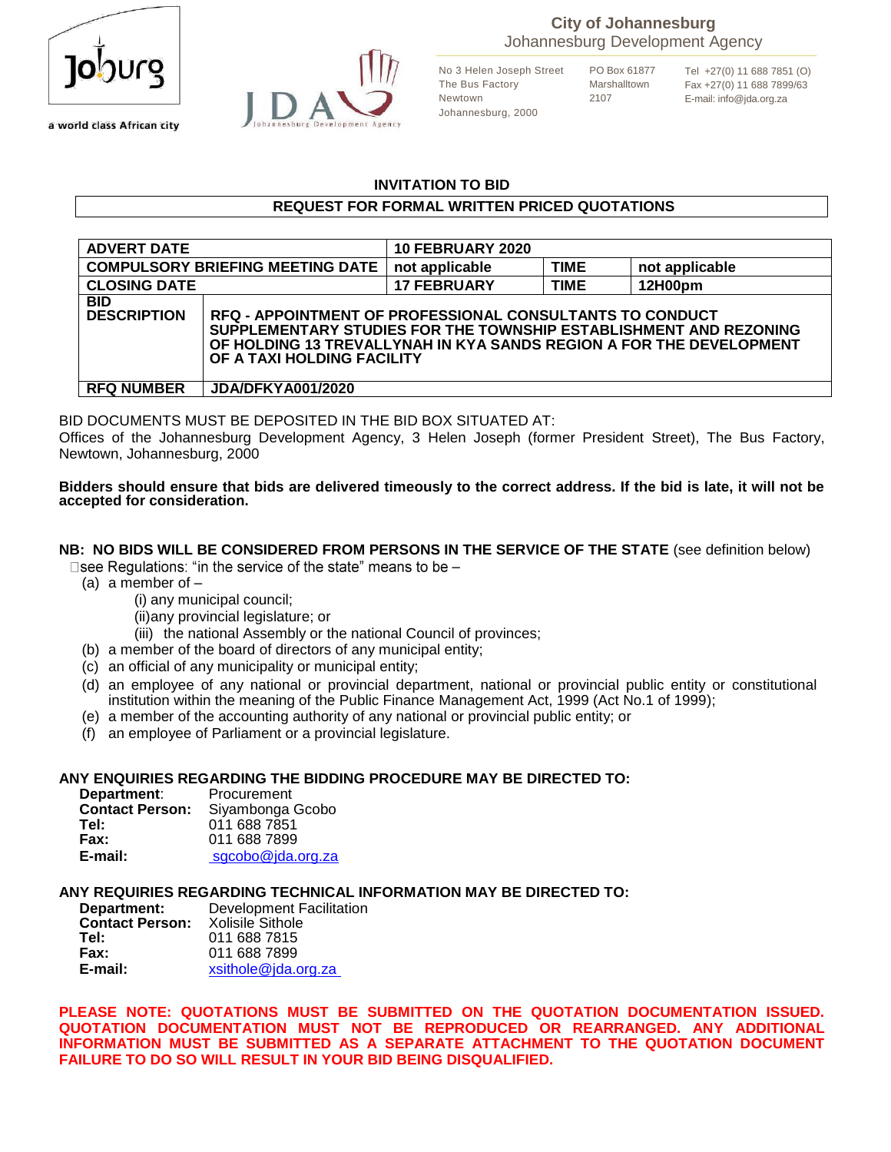

a world class African city



No 3 Helen Joseph Street The Bus Factory Newtown Johannesburg, 2000

PO Box 61877 Marshalltown 2107

Tel +27(0) 11 688 7851 (O) Fax +27(0) 11 688 7899/63 E-mail: info@jda.org.za

#### **INVITATION TO BID**

#### **REQUEST FOR FORMAL WRITTEN PRICED QUOTATIONS**

| <b>ADVERT DATE</b>                      |                                                                                                                                                                                                                                           | <b>10 FEBRUARY 2020</b> |             |                |
|-----------------------------------------|-------------------------------------------------------------------------------------------------------------------------------------------------------------------------------------------------------------------------------------------|-------------------------|-------------|----------------|
| <b>COMPULSORY BRIEFING MEETING DATE</b> |                                                                                                                                                                                                                                           | not applicable          | <b>TIME</b> | not applicable |
| <b>CLOSING DATE</b>                     |                                                                                                                                                                                                                                           | <b>17 FEBRUARY</b>      | <b>TIME</b> | 12H00pm        |
| <b>BID</b><br><b>DESCRIPTION</b>        | <b>RFQ - APPOINTMENT OF PROFESSIONAL CONSULTANTS TO CONDUCT</b><br>SUPPLEMENTARY STUDIES FOR THE TOWNSHIP ESTABLISHMENT AND REZONING<br>OF HOLDING 13 TREVALLYNAH IN KYA SANDS REGION A FOR THE DEVELOPMENT<br>OF A TAXI HOLDING FACILITY |                         |             |                |
| <b>RFQ NUMBER</b>                       | <b>JDA/DFKYA001/2020</b>                                                                                                                                                                                                                  |                         |             |                |

BID DOCUMENTS MUST BE DEPOSITED IN THE BID BOX SITUATED AT:

Offices of the Johannesburg Development Agency, 3 Helen Joseph (former President Street), The Bus Factory, Newtown, Johannesburg, 2000

#### **Bidders should ensure that bids are delivered timeously to the correct address. If the bid is late, it will not be accepted for consideration.**

#### **NB: NO BIDS WILL BE CONSIDERED FROM PERSONS IN THE SERVICE OF THE STATE** (see definition below)

□ see Regulations: "in the service of the state" means to be –

- (a) a member of  $-$ 
	- (i) any municipal council;
	- (ii)any provincial legislature; or
	- (iii) the national Assembly or the national Council of provinces;
- (b) a member of the board of directors of any municipal entity;
- (c) an official of any municipality or municipal entity;
- (d) an employee of any national or provincial department, national or provincial public entity or constitutional institution within the meaning of the Public Finance Management Act, 1999 (Act No.1 of 1999);
- (e) a member of the accounting authority of any national or provincial public entity; or
- (f) an employee of Parliament or a provincial legislature.

#### **ANY ENQUIRIES REGARDING THE BIDDING PROCEDURE MAY BE DIRECTED TO:**

| Department:            | Procurement       |
|------------------------|-------------------|
| <b>Contact Person:</b> | Siyambonga Gcobo  |
| Tel:                   | 011 688 7851      |
| Fax:                   | 011 688 7899      |
| E-mail:                | sgcobo@jda.org.za |

**ANY REQUIRIES REGARDING TECHNICAL INFORMATION MAY BE DIRECTED TO:**

| Department:            | <b>Development Facilitation</b> |
|------------------------|---------------------------------|
| <b>Contact Person:</b> | Xolisile Sithole                |
| Tel:                   | 011 688 7815                    |
| Fax:                   | 011 688 7899                    |
| E-mail:                | xsithole@jda.org.za             |

**PLEASE NOTE: QUOTATIONS MUST BE SUBMITTED ON THE QUOTATION DOCUMENTATION ISSUED. QUOTATION DOCUMENTATION MUST NOT BE REPRODUCED OR REARRANGED. ANY ADDITIONAL INFORMATION MUST BE SUBMITTED AS A SEPARATE ATTACHMENT TO THE QUOTATION DOCUMENT FAILURE TO DO SO WILL RESULT IN YOUR BID BEING DISQUALIFIED.**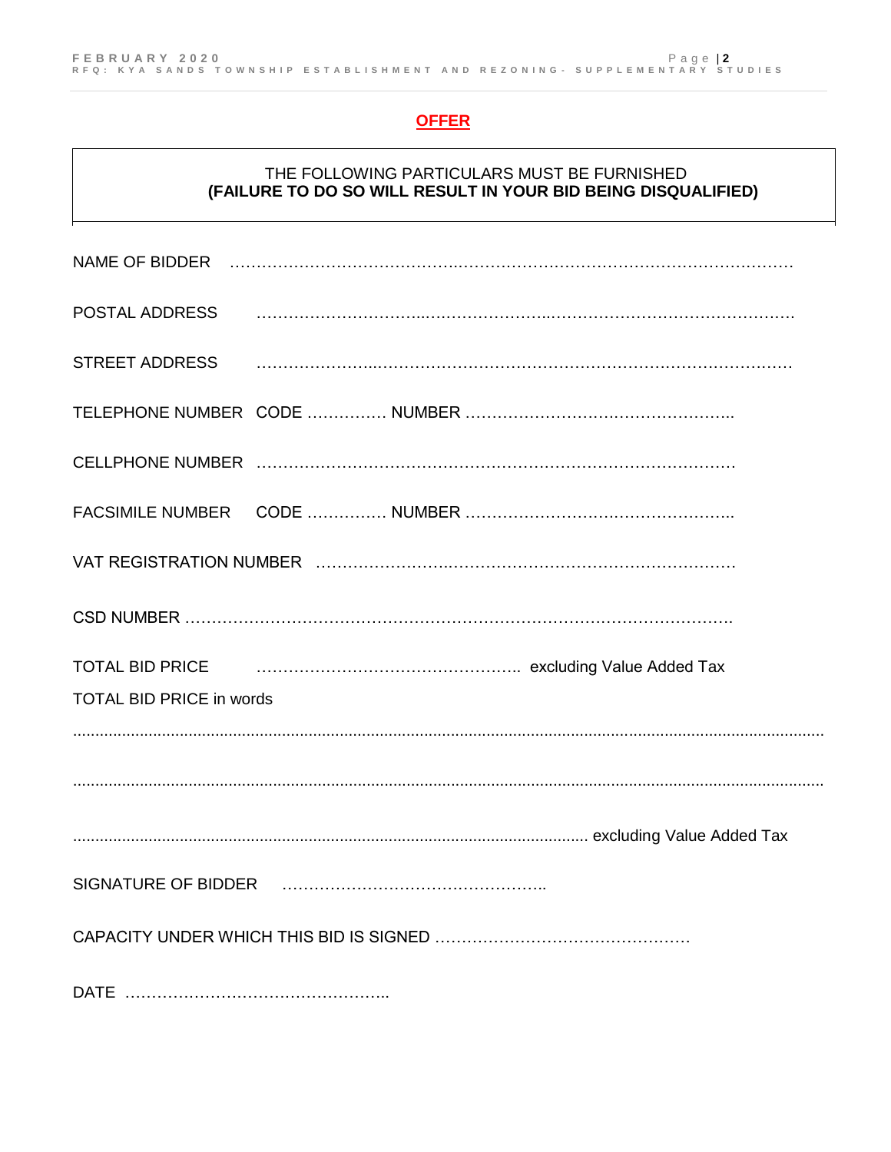# **OFFER**

### THE FOLLOWING PARTICULARS MUST BE FURNISHED **(FAILURE TO DO SO WILL RESULT IN YOUR BID BEING DISQUALIFIED)**

|                                 | POSTAL ADDRESS Paramala and the contract of the contract of the contract of the contract of the contract of the                                                                                               |  |
|---------------------------------|---------------------------------------------------------------------------------------------------------------------------------------------------------------------------------------------------------------|--|
|                                 | STREET ADDRESS And All and All and All and All and All and All and All and All and All and All and All and All                                                                                                |  |
|                                 |                                                                                                                                                                                                               |  |
|                                 |                                                                                                                                                                                                               |  |
|                                 |                                                                                                                                                                                                               |  |
|                                 |                                                                                                                                                                                                               |  |
|                                 |                                                                                                                                                                                                               |  |
|                                 | TOTAL BID PRICE <b>CONSESSION</b> CONTACT <b>PRICE CONSESSION CONSESSION CONSESSION CONSESSION CONSESSION CONSESSION CONSESSION CONSESSION CONSESSION CONSESSION CONSESSION CONSESSION CONSESSION CONSESS</b> |  |
| <b>TOTAL BID PRICE in words</b> |                                                                                                                                                                                                               |  |
|                                 |                                                                                                                                                                                                               |  |
|                                 |                                                                                                                                                                                                               |  |
|                                 |                                                                                                                                                                                                               |  |
|                                 |                                                                                                                                                                                                               |  |
|                                 |                                                                                                                                                                                                               |  |
| <b>DATE</b>                     |                                                                                                                                                                                                               |  |

DATE …………………………………………..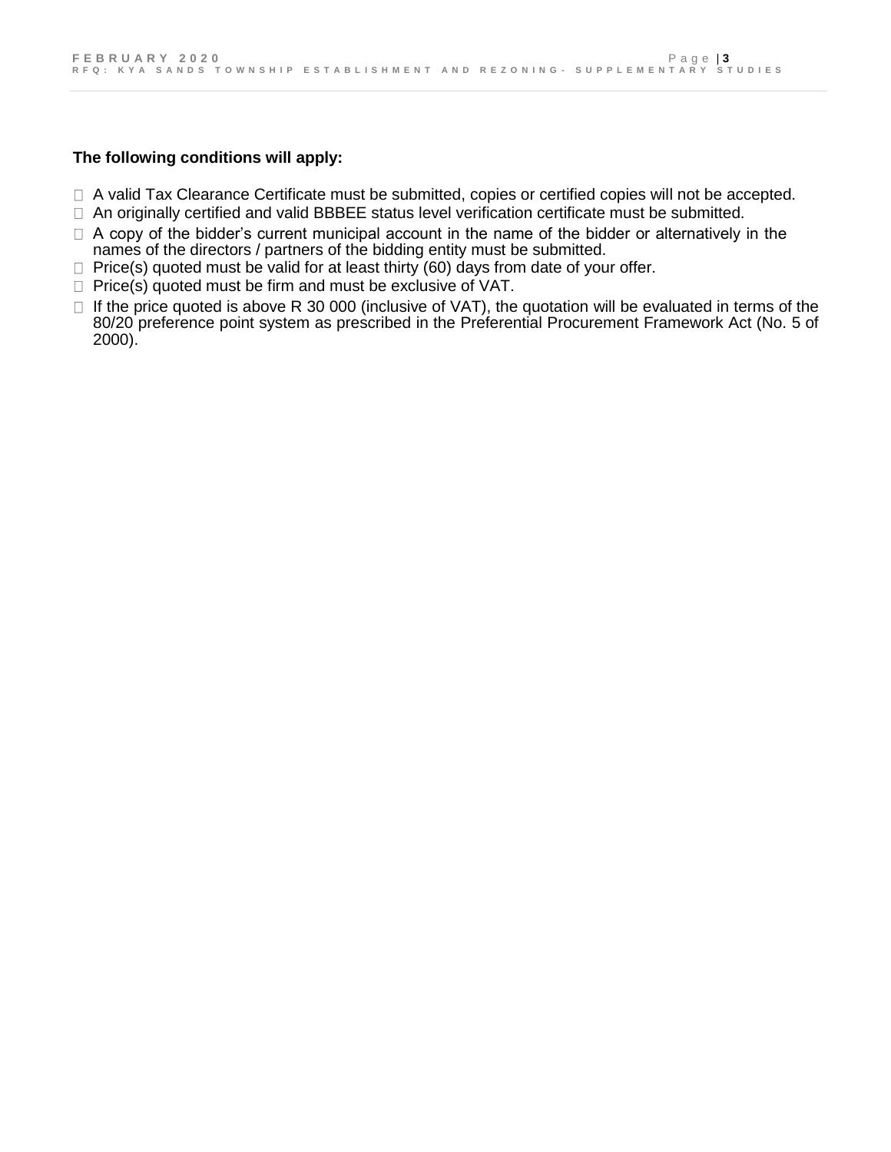### **The following conditions will apply:**

- □ A valid Tax Clearance Certificate must be submitted, copies or certified copies will not be accepted.
- □ An originally certified and valid BBBEE status level verification certificate must be submitted.
- $\Box$  A copy of the bidder's current municipal account in the name of the bidder or alternatively in the names of the directors / partners of the bidding entity must be submitted.
- $\Box$  Price(s) quoted must be valid for at least thirty (60) days from date of your offer.
- $\Box$  Price(s) quoted must be firm and must be exclusive of VAT.
- $\Box$  If the price quoted is above R 30 000 (inclusive of VAT), the quotation will be evaluated in terms of the 80/20 preference point system as prescribed in the Preferential Procurement Framework Act (No. 5 of 2000).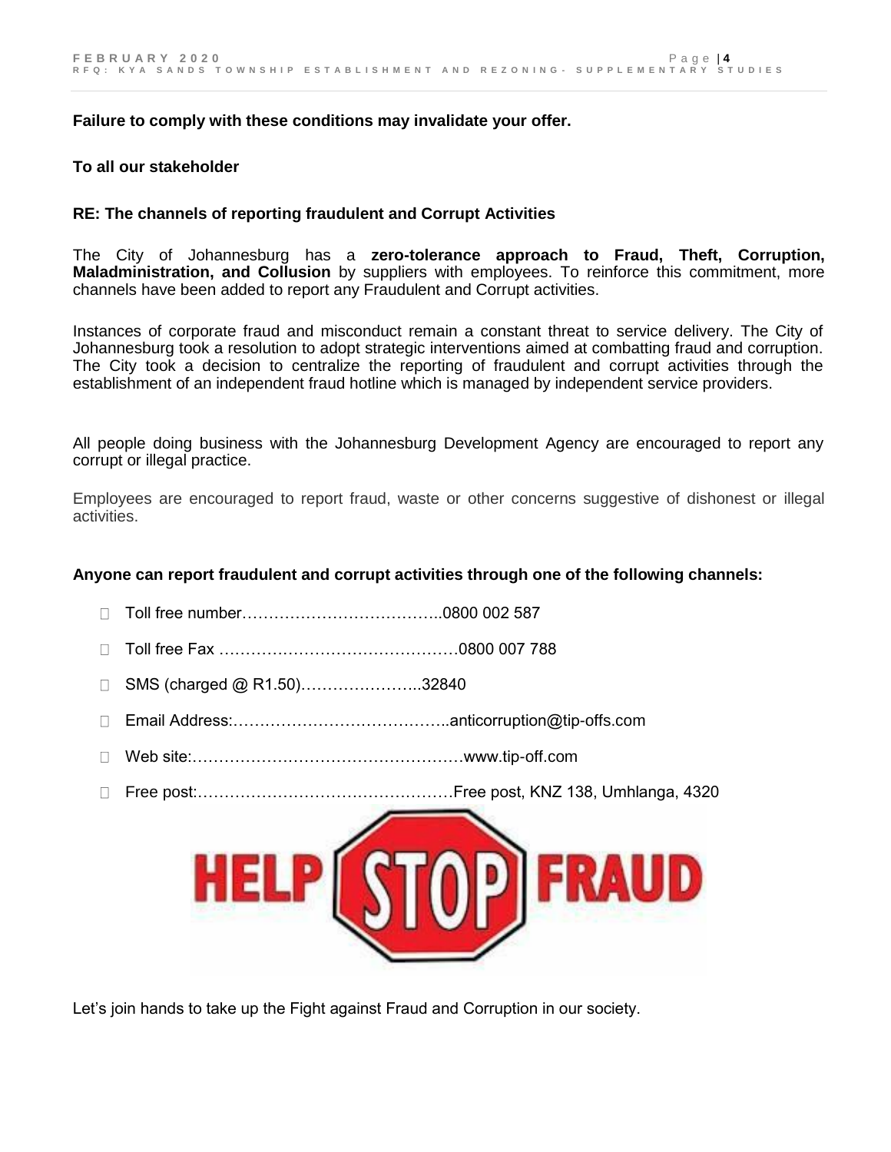#### **Failure to comply with these conditions may invalidate your offer.**

#### **To all our stakeholder**

#### **RE: The channels of reporting fraudulent and Corrupt Activities**

The City of Johannesburg has a **zero-tolerance approach to Fraud, Theft, Corruption, Maladministration, and Collusion** by suppliers with employees. To reinforce this commitment, more channels have been added to report any Fraudulent and Corrupt activities.

Instances of corporate fraud and misconduct remain a constant threat to service delivery. The City of Johannesburg took a resolution to adopt strategic interventions aimed at combatting fraud and corruption. The City took a decision to centralize the reporting of fraudulent and corrupt activities through the establishment of an independent fraud hotline which is managed by independent service providers.

All people doing business with the Johannesburg Development Agency are encouraged to report any corrupt or illegal practice.

Employees are encouraged to report fraud, waste or other concerns suggestive of dishonest or illegal activities.

#### **Anyone can report fraudulent and corrupt activities through one of the following channels:**

- Toll free number………………………………..0800 002 587
- $\Box$ Toll free Fax ………………………………………0800 007 788
- SMS (charged @ R1.50)…………………..32840
- Email Address:…………………………………..anticorruption@tip-offs.com
- $\Box$ Web site:……………………………………………www.tip-off.com
- Free post:…………………………………………Free post, KNZ 138, Umhlanga, 4320



Let's join hands to take up the Fight against Fraud and Corruption in our society.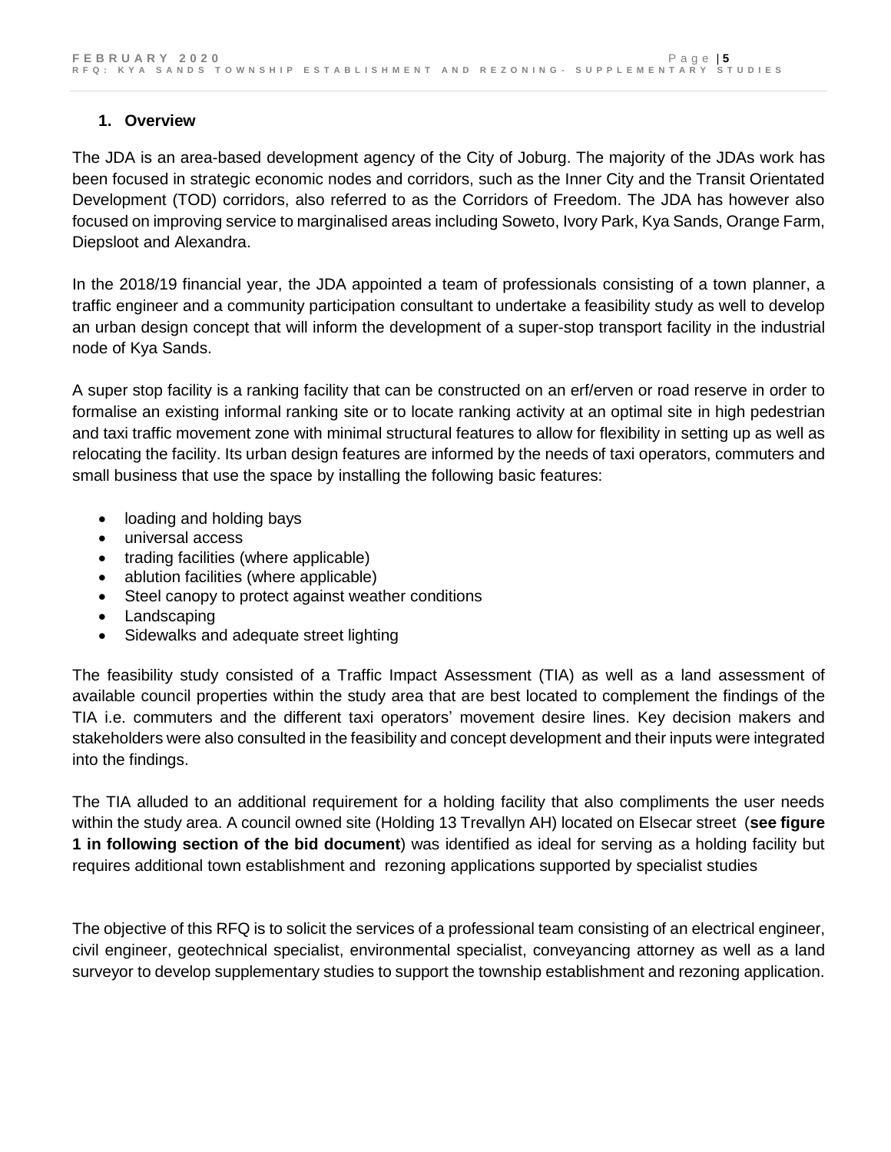# **1. Overview**

The JDA is an area-based development agency of the City of Joburg. The majority of the JDAs work has been focused in strategic economic nodes and corridors, such as the Inner City and the Transit Orientated Development (TOD) corridors, also referred to as the Corridors of Freedom. The JDA has however also focused on improving service to marginalised areas including Soweto, Ivory Park, Kya Sands, Orange Farm, Diepsloot and Alexandra.

In the 2018/19 financial year, the JDA appointed a team of professionals consisting of a town planner, a traffic engineer and a community participation consultant to undertake a feasibility study as well to develop an urban design concept that will inform the development of a super-stop transport facility in the industrial node of Kya Sands.

A super stop facility is a ranking facility that can be constructed on an erf/erven or road reserve in order to formalise an existing informal ranking site or to locate ranking activity at an optimal site in high pedestrian and taxi traffic movement zone with minimal structural features to allow for flexibility in setting up as well as relocating the facility. Its urban design features are informed by the needs of taxi operators, commuters and small business that use the space by installing the following basic features:

- loading and holding bays
- universal access
- trading facilities (where applicable)
- ablution facilities (where applicable)
- Steel canopy to protect against weather conditions
- Landscaping
- Sidewalks and adequate street lighting

The feasibility study consisted of a Traffic Impact Assessment (TIA) as well as a land assessment of available council properties within the study area that are best located to complement the findings of the TIA i.e. commuters and the different taxi operators' movement desire lines. Key decision makers and stakeholders were also consulted in the feasibility and concept development and their inputs were integrated into the findings.

The TIA alluded to an additional requirement for a holding facility that also compliments the user needs within the study area. A council owned site (Holding 13 Trevallyn AH) located on Elsecar street (**see figure 1 in following section of the bid document**) was identified as ideal for serving as a holding facility but requires additional town establishment and rezoning applications supported by specialist studies

The objective of this RFQ is to solicit the services of a professional team consisting of an electrical engineer, civil engineer, geotechnical specialist, environmental specialist, conveyancing attorney as well as a land surveyor to develop supplementary studies to support the township establishment and rezoning application.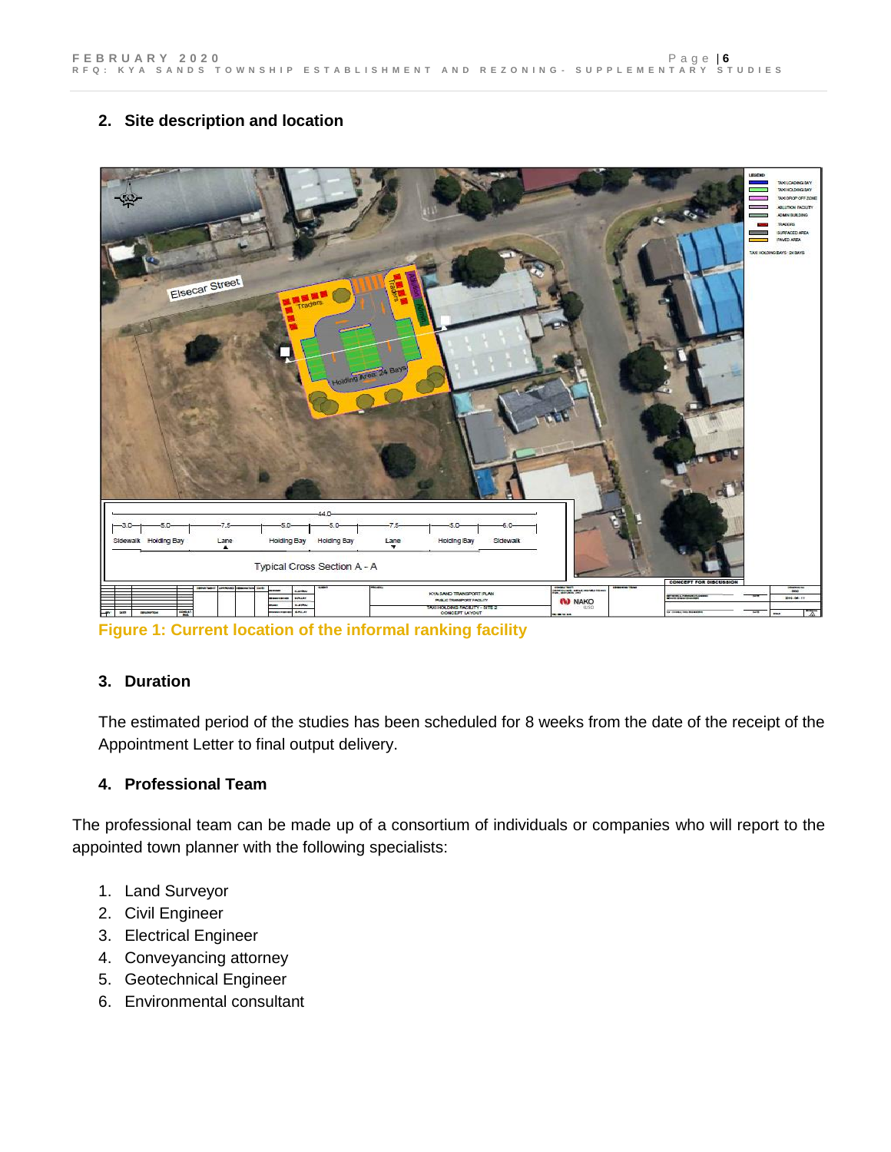# **2. Site description and location**



**Figure 1: Current location of the informal ranking facility**

### **3. Duration**

The estimated period of the studies has been scheduled for 8 weeks from the date of the receipt of the Appointment Letter to final output delivery.

### **4. Professional Team**

The professional team can be made up of a consortium of individuals or companies who will report to the appointed town planner with the following specialists:

- 1. Land Surveyor
- 2. Civil Engineer
- 3. Electrical Engineer
- 4. Conveyancing attorney
- 5. Geotechnical Engineer
- 6. Environmental consultant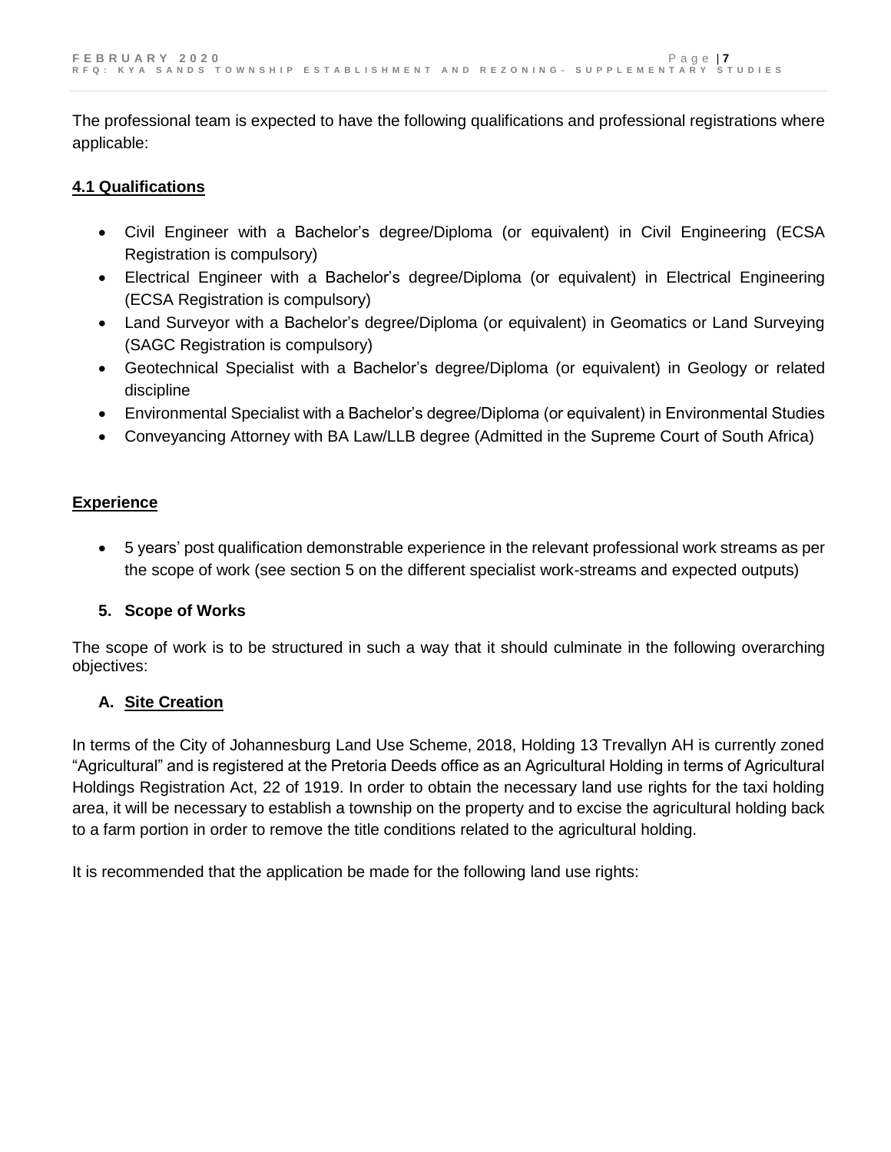The professional team is expected to have the following qualifications and professional registrations where applicable:

### **4.1 Qualifications**

- Civil Engineer with a Bachelor's degree/Diploma (or equivalent) in Civil Engineering (ECSA Registration is compulsory)
- Electrical Engineer with a Bachelor's degree/Diploma (or equivalent) in Electrical Engineering (ECSA Registration is compulsory)
- Land Surveyor with a Bachelor's degree/Diploma (or equivalent) in Geomatics or Land Surveying (SAGC Registration is compulsory)
- Geotechnical Specialist with a Bachelor's degree/Diploma (or equivalent) in Geology or related discipline
- Environmental Specialist with a Bachelor's degree/Diploma (or equivalent) in Environmental Studies
- Conveyancing Attorney with BA Law/LLB degree (Admitted in the Supreme Court of South Africa)

### **Experience**

 5 years' post qualification demonstrable experience in the relevant professional work streams as per the scope of work (see section 5 on the different specialist work-streams and expected outputs)

# **5. Scope of Works**

The scope of work is to be structured in such a way that it should culminate in the following overarching objectives:

# **A. Site Creation**

In terms of the City of Johannesburg Land Use Scheme, 2018, Holding 13 Trevallyn AH is currently zoned "Agricultural" and is registered at the Pretoria Deeds office as an Agricultural Holding in terms of Agricultural Holdings Registration Act, 22 of 1919. In order to obtain the necessary land use rights for the taxi holding area, it will be necessary to establish a township on the property and to excise the agricultural holding back to a farm portion in order to remove the title conditions related to the agricultural holding.

It is recommended that the application be made for the following land use rights: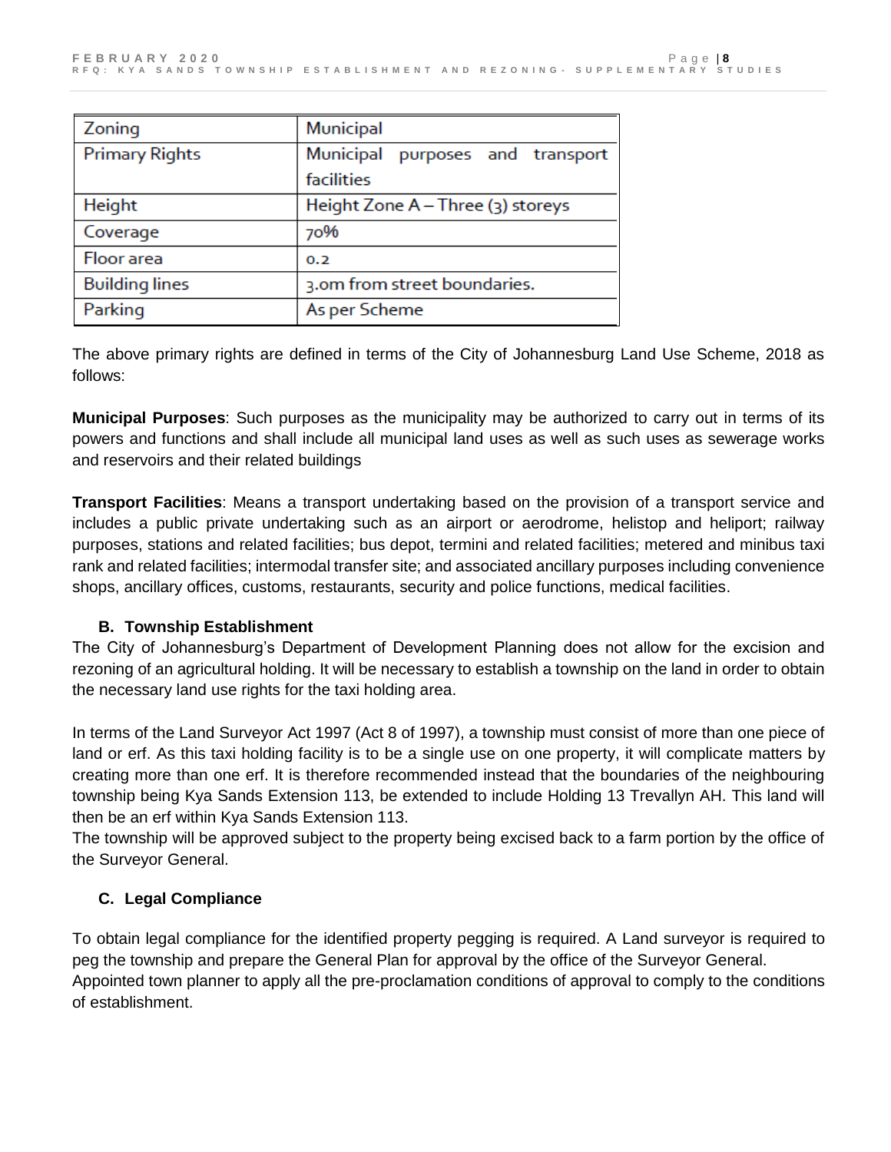| Zoning                | Municipal                           |  |
|-----------------------|-------------------------------------|--|
| <b>Primary Rights</b> | Municipal<br>purposes and transport |  |
|                       | facilities                          |  |
| Height                | Height Zone A - Three (3) storeys   |  |
| Coverage              | 70%                                 |  |
| Floor area            | 0.2                                 |  |
| <b>Building lines</b> | 3.0m from street boundaries.        |  |
| Parking               | As per Scheme                       |  |

The above primary rights are defined in terms of the City of Johannesburg Land Use Scheme, 2018 as follows:

**Municipal Purposes**: Such purposes as the municipality may be authorized to carry out in terms of its powers and functions and shall include all municipal land uses as well as such uses as sewerage works and reservoirs and their related buildings

**Transport Facilities**: Means a transport undertaking based on the provision of a transport service and includes a public private undertaking such as an airport or aerodrome, helistop and heliport; railway purposes, stations and related facilities; bus depot, termini and related facilities; metered and minibus taxi rank and related facilities; intermodal transfer site; and associated ancillary purposes including convenience shops, ancillary offices, customs, restaurants, security and police functions, medical facilities.

# **B. Township Establishment**

The City of Johannesburg's Department of Development Planning does not allow for the excision and rezoning of an agricultural holding. It will be necessary to establish a township on the land in order to obtain the necessary land use rights for the taxi holding area.

In terms of the Land Surveyor Act 1997 (Act 8 of 1997), a township must consist of more than one piece of land or erf. As this taxi holding facility is to be a single use on one property, it will complicate matters by creating more than one erf. It is therefore recommended instead that the boundaries of the neighbouring township being Kya Sands Extension 113, be extended to include Holding 13 Trevallyn AH. This land will then be an erf within Kya Sands Extension 113.

The township will be approved subject to the property being excised back to a farm portion by the office of the Surveyor General.

# **C. Legal Compliance**

To obtain legal compliance for the identified property pegging is required. A Land surveyor is required to peg the township and prepare the General Plan for approval by the office of the Surveyor General. Appointed town planner to apply all the pre-proclamation conditions of approval to comply to the conditions of establishment.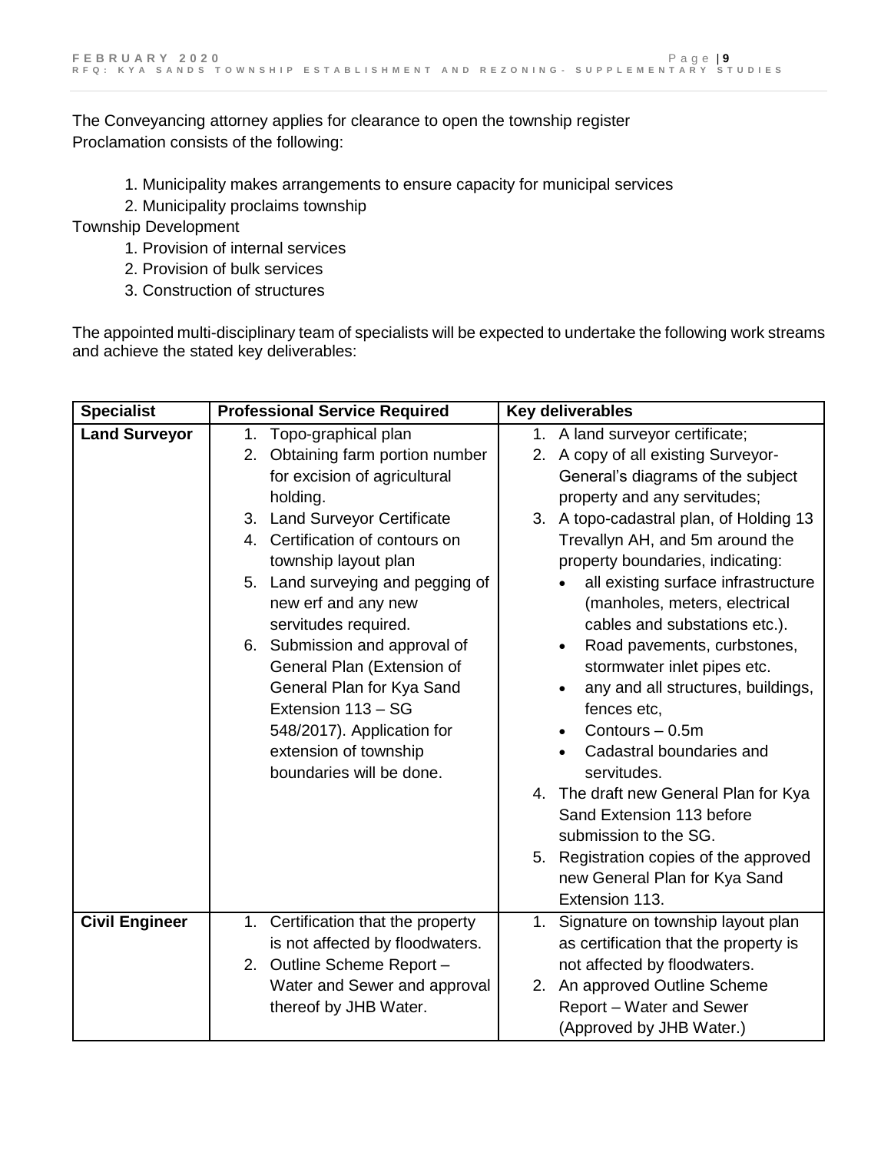The Conveyancing attorney applies for clearance to open the township register Proclamation consists of the following:

- 1. Municipality makes arrangements to ensure capacity for municipal services
- 2. Municipality proclaims township

Township Development

- 1. Provision of internal services
- 2. Provision of bulk services
- 3. Construction of structures

The appointed multi-disciplinary team of specialists will be expected to undertake the following work streams and achieve the stated key deliverables:

| <b>Specialist</b>     | <b>Professional Service Required</b> | <b>Key deliverables</b>                   |
|-----------------------|--------------------------------------|-------------------------------------------|
| <b>Land Surveyor</b>  | 1. Topo-graphical plan               | 1. A land surveyor certificate;           |
|                       | 2. Obtaining farm portion number     | 2. A copy of all existing Surveyor-       |
|                       | for excision of agricultural         | General's diagrams of the subject         |
|                       | holding.                             | property and any servitudes;              |
|                       | 3. Land Surveyor Certificate         | 3. A topo-cadastral plan, of Holding 13   |
|                       | 4. Certification of contours on      | Trevallyn AH, and 5m around the           |
|                       | township layout plan                 | property boundaries, indicating:          |
|                       | 5. Land surveying and pegging of     | all existing surface infrastructure       |
|                       | new erf and any new                  | (manholes, meters, electrical             |
|                       | servitudes required.                 | cables and substations etc.).             |
|                       | 6. Submission and approval of        | Road pavements, curbstones,<br>$\bullet$  |
|                       | General Plan (Extension of           | stormwater inlet pipes etc.               |
|                       | General Plan for Kya Sand            | any and all structures, buildings,        |
|                       | Extension 113 - SG                   | fences etc,                               |
|                       | 548/2017). Application for           | Contours - 0.5m                           |
|                       | extension of township                | Cadastral boundaries and                  |
|                       | boundaries will be done.             | servitudes.                               |
|                       |                                      | 4. The draft new General Plan for Kya     |
|                       |                                      | Sand Extension 113 before                 |
|                       |                                      | submission to the SG.                     |
|                       |                                      | Registration copies of the approved<br>5. |
|                       |                                      | new General Plan for Kya Sand             |
|                       |                                      | Extension 113.                            |
| <b>Civil Engineer</b> | 1. Certification that the property   | 1. Signature on township layout plan      |
|                       | is not affected by floodwaters.      | as certification that the property is     |
|                       | 2. Outline Scheme Report-            | not affected by floodwaters.              |
|                       | Water and Sewer and approval         | 2. An approved Outline Scheme             |
|                       | thereof by JHB Water.                | Report - Water and Sewer                  |
|                       |                                      | (Approved by JHB Water.)                  |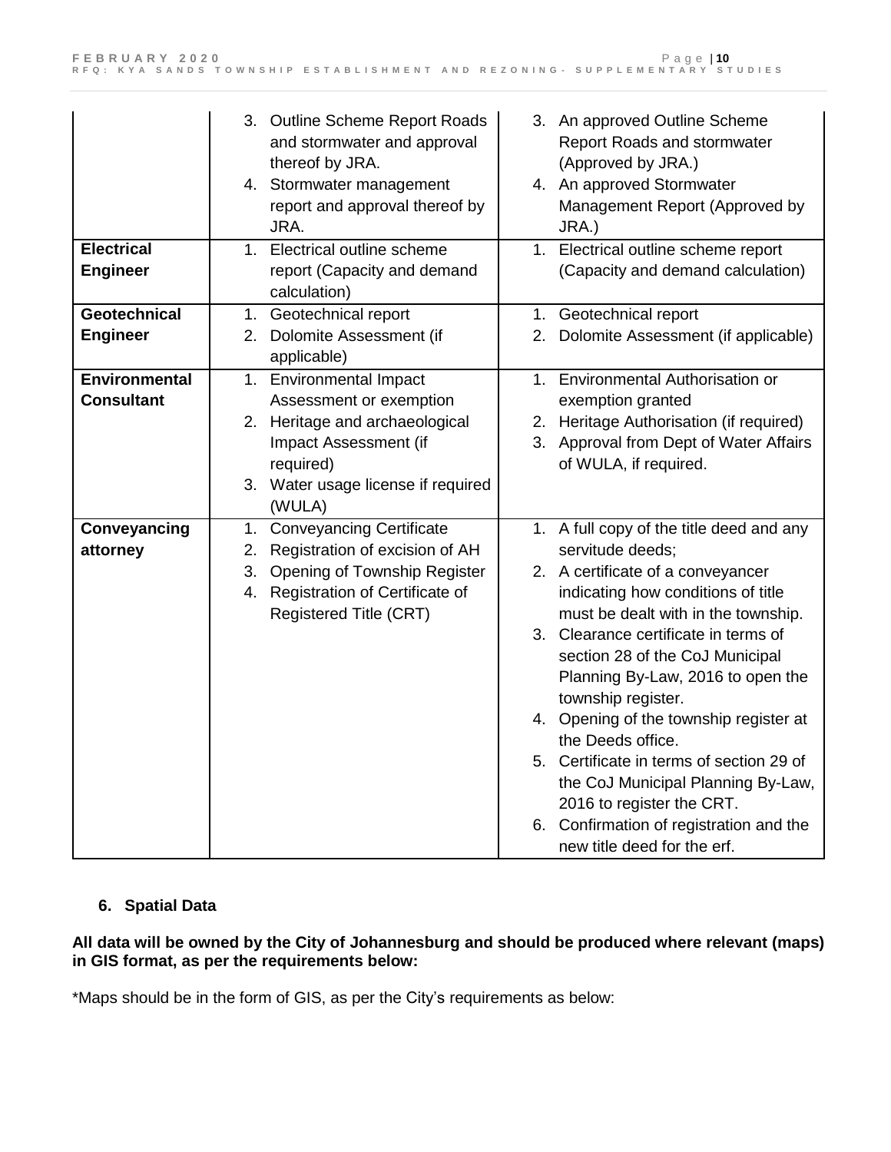|                                      | 3. Outline Scheme Report Roads<br>and stormwater and approval<br>thereof by JRA.<br>4. Stormwater management<br>report and approval thereof by<br>JRA. | 3. An approved Outline Scheme<br>Report Roads and stormwater<br>(Approved by JRA.)<br>4. An approved Stormwater<br>Management Report (Approved by<br>JRA.) |
|--------------------------------------|--------------------------------------------------------------------------------------------------------------------------------------------------------|------------------------------------------------------------------------------------------------------------------------------------------------------------|
| <b>Electrical</b><br><b>Engineer</b> | 1. Electrical outline scheme<br>report (Capacity and demand<br>calculation)                                                                            | 1. Electrical outline scheme report<br>(Capacity and demand calculation)                                                                                   |
| Geotechnical                         | 1. Geotechnical report                                                                                                                                 | 1. Geotechnical report                                                                                                                                     |
| <b>Engineer</b>                      | 2. Dolomite Assessment (if<br>applicable)                                                                                                              | 2. Dolomite Assessment (if applicable)                                                                                                                     |
| <b>Environmental</b>                 | 1. Environmental Impact                                                                                                                                | 1. Environmental Authorisation or                                                                                                                          |
| <b>Consultant</b>                    | Assessment or exemption                                                                                                                                | exemption granted                                                                                                                                          |
|                                      | 2. Heritage and archaeological                                                                                                                         | 2. Heritage Authorisation (if required)                                                                                                                    |
|                                      | Impact Assessment (if                                                                                                                                  | 3. Approval from Dept of Water Affairs                                                                                                                     |
|                                      | required)                                                                                                                                              | of WULA, if required.                                                                                                                                      |
|                                      | 3. Water usage license if required<br>(WULA)                                                                                                           |                                                                                                                                                            |
| Conveyancing                         | <b>Conveyancing Certificate</b><br>1.                                                                                                                  | 1. A full copy of the title deed and any                                                                                                                   |
| attorney                             | Registration of excision of AH<br>2.                                                                                                                   | servitude deeds;                                                                                                                                           |
|                                      | Opening of Township Register<br>3.                                                                                                                     | 2. A certificate of a conveyancer                                                                                                                          |
|                                      | 4. Registration of Certificate of                                                                                                                      | indicating how conditions of title                                                                                                                         |
|                                      | Registered Title (CRT)                                                                                                                                 | must be dealt with in the township.                                                                                                                        |
|                                      |                                                                                                                                                        | 3. Clearance certificate in terms of                                                                                                                       |
|                                      |                                                                                                                                                        | section 28 of the CoJ Municipal                                                                                                                            |
|                                      |                                                                                                                                                        | Planning By-Law, 2016 to open the                                                                                                                          |
|                                      |                                                                                                                                                        | township register.                                                                                                                                         |
|                                      |                                                                                                                                                        | 4. Opening of the township register at                                                                                                                     |
|                                      |                                                                                                                                                        | the Deeds office.                                                                                                                                          |
|                                      |                                                                                                                                                        | 5. Certificate in terms of section 29 of                                                                                                                   |
|                                      |                                                                                                                                                        | the CoJ Municipal Planning By-Law,                                                                                                                         |
|                                      |                                                                                                                                                        | 2016 to register the CRT.                                                                                                                                  |
|                                      |                                                                                                                                                        | 6. Confirmation of registration and the<br>new title deed for the erf.                                                                                     |

# **6. Spatial Data**

### **All data will be owned by the City of Johannesburg and should be produced where relevant (maps) in GIS format, as per the requirements below:**

\*Maps should be in the form of GIS, as per the City's requirements as below: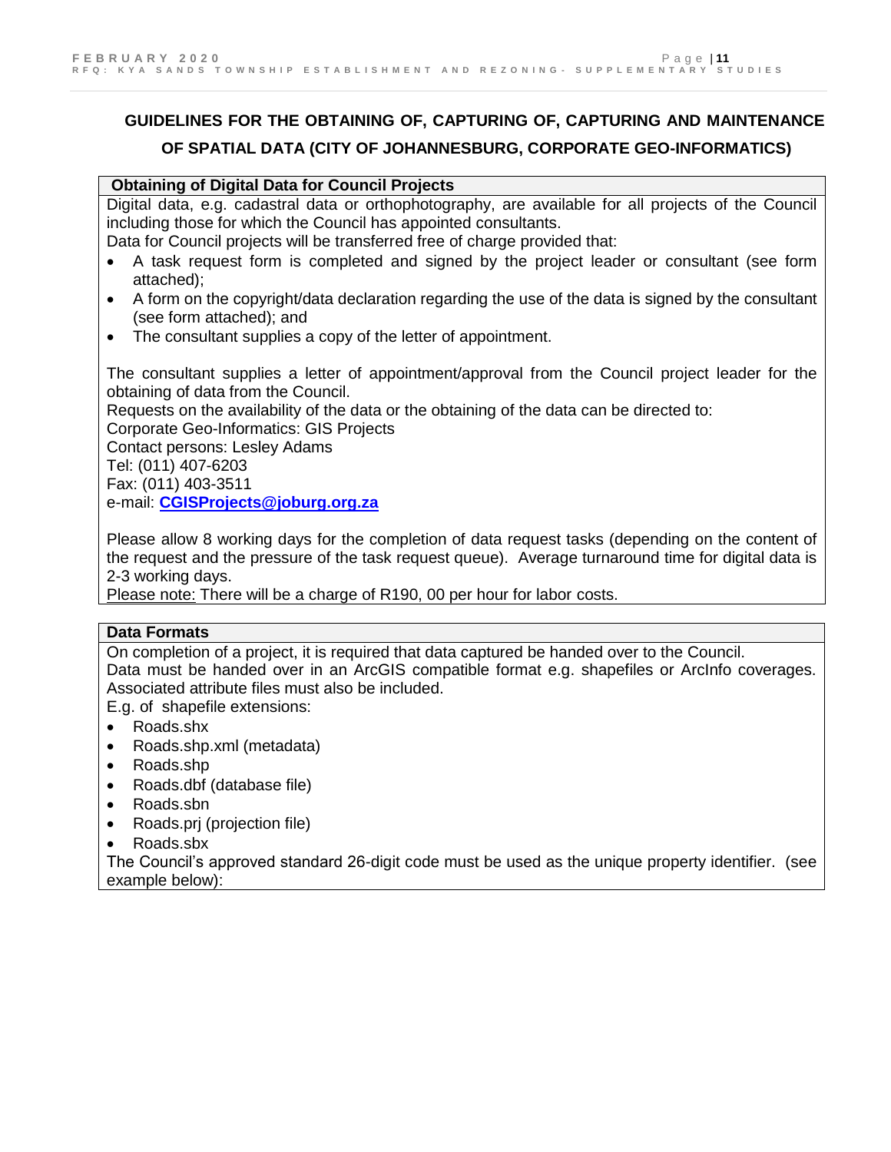# **GUIDELINES FOR THE OBTAINING OF, CAPTURING OF, CAPTURING AND MAINTENANCE OF SPATIAL DATA (CITY OF JOHANNESBURG, CORPORATE GEO-INFORMATICS)**

#### **Obtaining of Digital Data for Council Projects**

Digital data, e.g. cadastral data or orthophotography, are available for all projects of the Council including those for which the Council has appointed consultants.

Data for Council projects will be transferred free of charge provided that:

- A task request form is completed and signed by the project leader or consultant (see form attached);
- A form on the copyright/data declaration regarding the use of the data is signed by the consultant (see form attached); and
- The consultant supplies a copy of the letter of appointment.

The consultant supplies a letter of appointment/approval from the Council project leader for the obtaining of data from the Council.

Requests on the availability of the data or the obtaining of the data can be directed to: Corporate Geo-Informatics: GIS Projects

Contact persons: Lesley Adams Tel: (011) 407-6203

Fax: (011) 403-3511

e-mail: **[CGISProjects@joburg.org.za](mailto:CGISProjects@joburg.org.za)**

Please allow 8 working days for the completion of data request tasks (depending on the content of the request and the pressure of the task request queue). Average turnaround time for digital data is 2-3 working days.

Please note: There will be a charge of R190, 00 per hour for labor costs.

#### **Data Formats**

On completion of a project, it is required that data captured be handed over to the Council. Data must be handed over in an ArcGIS compatible format e.g. shapefiles or ArcInfo coverages. Associated attribute files must also be included.

E.g. of shapefile extensions:

- Roads.shx
- Roads.shp.xml (metadata)
- Roads.shp
- Roads.dbf (database file)
- Roads.sbn
- Roads.prj (projection file)
- Roads.sbx

The Council's approved standard 26-digit code must be used as the unique property identifier. (see example below):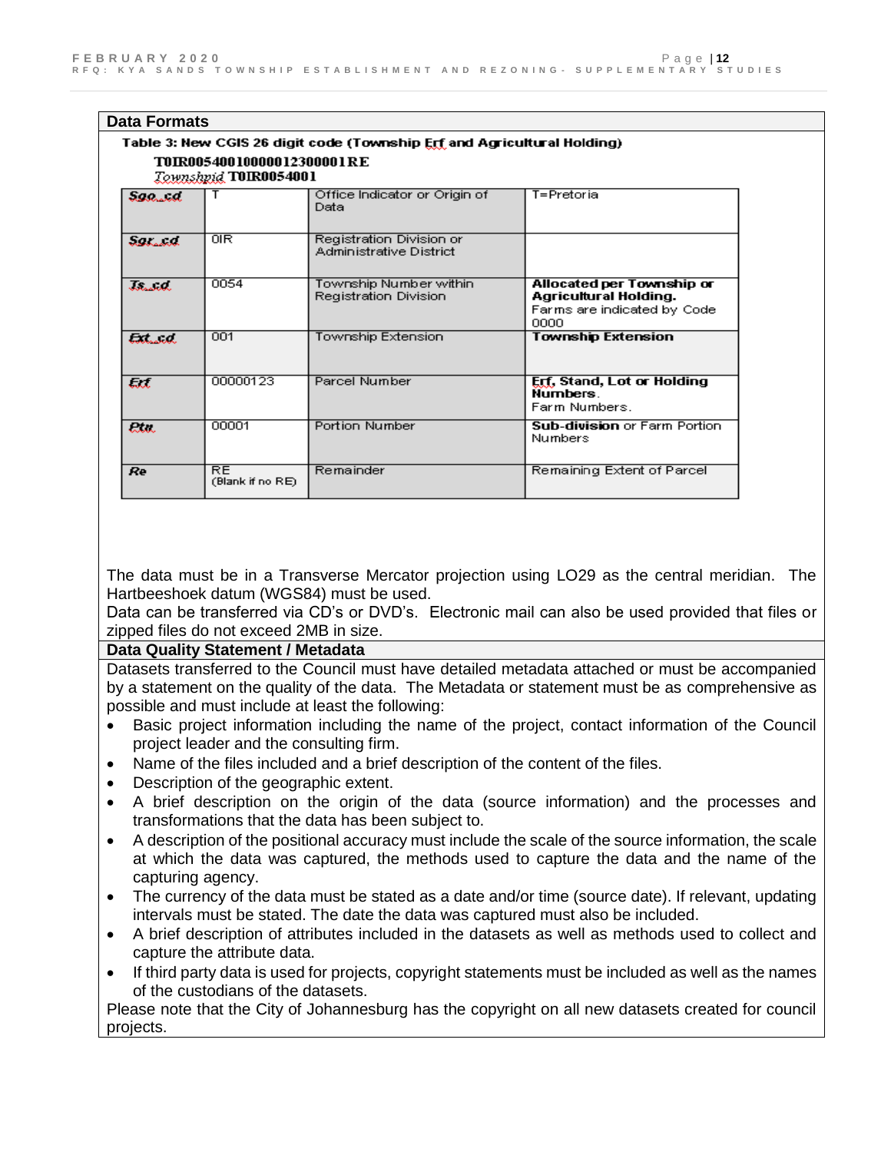| <b>Data Formats</b>          |                                                                   |                                                                         |                                                                                           |
|------------------------------|-------------------------------------------------------------------|-------------------------------------------------------------------------|-------------------------------------------------------------------------------------------|
|                              | TNIRAAS4AA 1 AAAAA 1 23AAAA 1 R E<br><b>Townshpid TOIR0054001</b> | Table 3: New CGIS 26 digit code (Township Erf and Agricultural Holding) |                                                                                           |
| Saakka.                      |                                                                   | Office Indicator or Origin of<br>Data                                   | T=Pretoria                                                                                |
| <b><i><u>Changed</u></i></b> | $\overline{OIR}$                                                  | Registration Division or<br>Administrative District                     |                                                                                           |
| and and the                  | 0054                                                              | Township Number within<br>Registration Division                         | Allocated per Township or<br>Agricultural Holding.<br>Farms are indicated by Code<br>0000 |
| لمستحا                       | 001                                                               | Township Extension                                                      | <b>Township Extension</b>                                                                 |
| List.                        | 00000123                                                          | Parcel Number                                                           | Erf, Stand, Lot or Holding<br><b>Numbers</b><br>Farm Numbers.                             |
| ala.                         | 00001                                                             | <b>Portion Number</b>                                                   | <b>Sub-division or Farm Portion</b><br>Numbers                                            |
| Re                           | <b>RE</b><br>(Blank if no RE)                                     | Remainder                                                               | Remaining Extent of Parcel                                                                |

The data must be in a Transverse Mercator projection using LO29 as the central meridian. The Hartbeeshoek datum (WGS84) must be used.

Data can be transferred via CD's or DVD's. Electronic mail can also be used provided that files or zipped files do not exceed 2MB in size.

#### **Data Quality Statement / Metadata**

Datasets transferred to the Council must have detailed metadata attached or must be accompanied by a statement on the quality of the data. The Metadata or statement must be as comprehensive as possible and must include at least the following:

- Basic project information including the name of the project, contact information of the Council project leader and the consulting firm.
- Name of the files included and a brief description of the content of the files.
- Description of the geographic extent.
- A brief description on the origin of the data (source information) and the processes and transformations that the data has been subject to.
- A description of the positional accuracy must include the scale of the source information, the scale at which the data was captured, the methods used to capture the data and the name of the capturing agency.
- The currency of the data must be stated as a date and/or time (source date). If relevant, updating intervals must be stated. The date the data was captured must also be included.
- A brief description of attributes included in the datasets as well as methods used to collect and capture the attribute data.
- If third party data is used for projects, copyright statements must be included as well as the names of the custodians of the datasets.

Please note that the City of Johannesburg has the copyright on all new datasets created for council projects.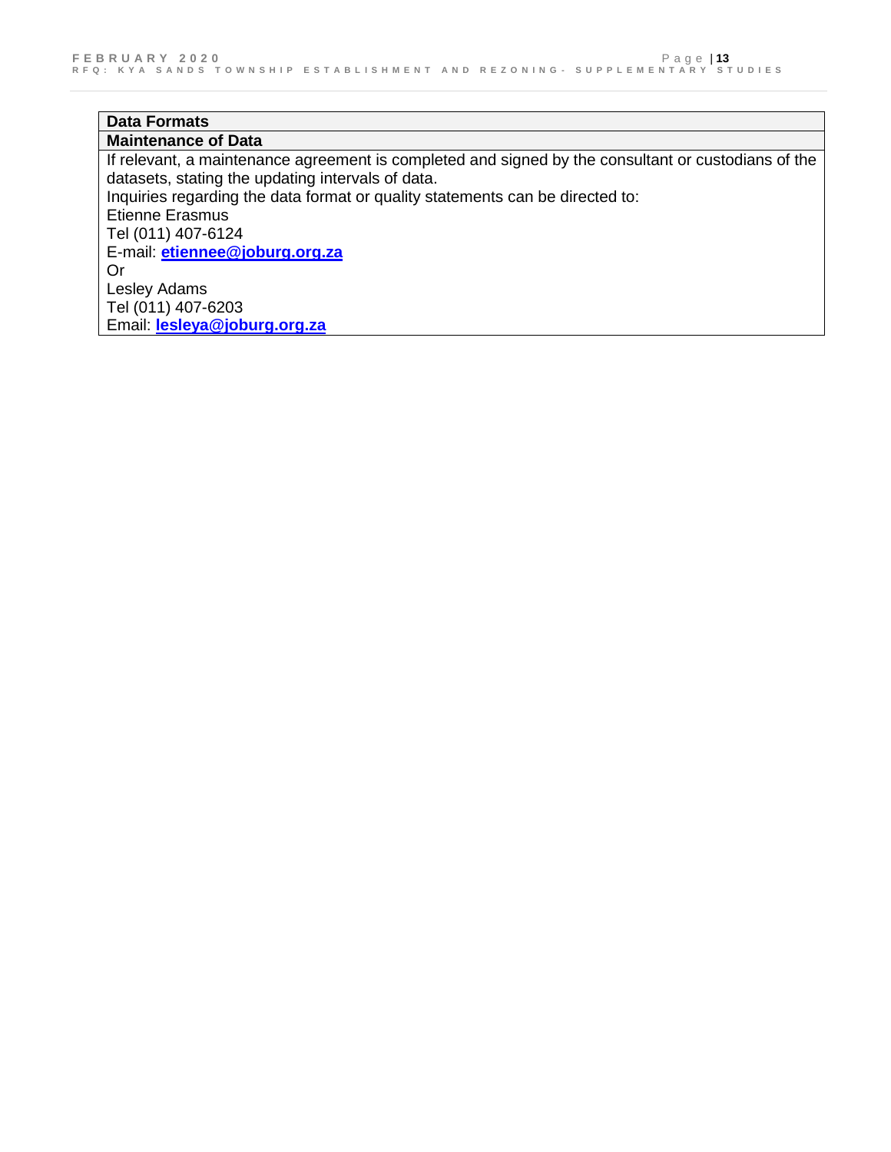# **Data Formats**

**Maintenance of Data**  If relevant, a maintenance agreement is completed and signed by the consultant or custodians of the datasets, stating the updating intervals of data. Inquiries regarding the data format or quality statements can be directed to: Etienne Erasmus Tel (011) 407-6124 E-mail: **[etiennee@joburg.org.za](mailto:etiennee@joburg.org.za)** Or Lesley Adams Tel (011) 407-6203 Email: **[lesleya@joburg.org.za](mailto:lesleya@joburg.org.za)**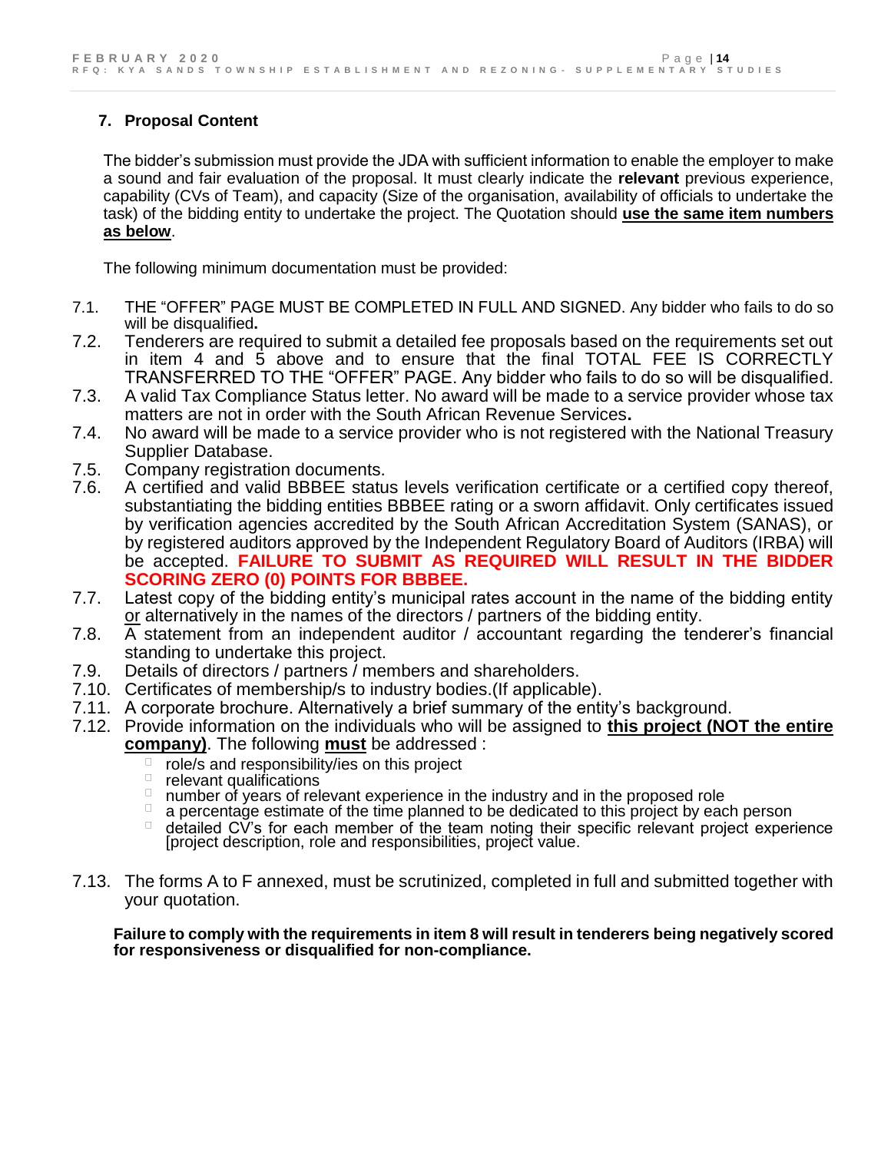# **7. Proposal Content**

The bidder's submission must provide the JDA with sufficient information to enable the employer to make a sound and fair evaluation of the proposal. It must clearly indicate the **relevant** previous experience, capability (CVs of Team), and capacity (Size of the organisation, availability of officials to undertake the task) of the bidding entity to undertake the project. The Quotation should **use the same item numbers as below**.

The following minimum documentation must be provided:

- 7.1. THE "OFFER" PAGE MUST BE COMPLETED IN FULL AND SIGNED. Any bidder who fails to do so will be disqualified**.**
- 7.2. Tenderers are required to submit a detailed fee proposals based on the requirements set out in item 4 and 5 above and to ensure that the final TOTAL FEE IS CORRECTLY TRANSFERRED TO THE "OFFER" PAGE. Any bidder who fails to do so will be disqualified.
- 7.3. A valid Tax Compliance Status letter. No award will be made to a service provider whose tax matters are not in order with the South African Revenue Services**.**
- 7.4. No award will be made to a service provider who is not registered with the National Treasury Supplier Database.
- 7.5. Company registration documents.
- 7.6. A certified and valid BBBEE status levels verification certificate or a certified copy thereof, substantiating the bidding entities BBBEE rating or a sworn affidavit. Only certificates issued by verification agencies accredited by the South African Accreditation System (SANAS), or by registered auditors approved by the Independent Regulatory Board of Auditors (IRBA) will be accepted. **FAILURE TO SUBMIT AS REQUIRED WILL RESULT IN THE BIDDER SCORING ZERO (0) POINTS FOR BBBEE.**
- 7.7. Latest copy of the bidding entity's municipal rates account in the name of the bidding entity or alternatively in the names of the directors / partners of the bidding entity.
- 7.8. A statement from an independent auditor / accountant regarding the tenderer's financial standing to undertake this project.
- 7.9. Details of directors / partners / members and shareholders.
- 7.10. Certificates of membership/s to industry bodies.(If applicable).
- 7.11. A corporate brochure. Alternatively a brief summary of the entity's background.
- 7.12. Provide information on the individuals who will be assigned to **this project (NOT the entire company)**. The following **must** be addressed :
	- role/s and responsibility/ies on this project
	- $\Box$ relevant qualifications
	- $\Box$ number of years of relevant experience in the industry and in the proposed role
	- a percentage estimate of the time planned to be dedicated to this project by each person
	- detailed CV's for each member of the team noting their specific relevant project experience [project description, role and responsibilities, project value.
- 7.13. The forms A to F annexed, must be scrutinized, completed in full and submitted together with your quotation.

**Failure to comply with the requirements in item 8 will result in tenderers being negatively scored for responsiveness or disqualified for non-compliance.**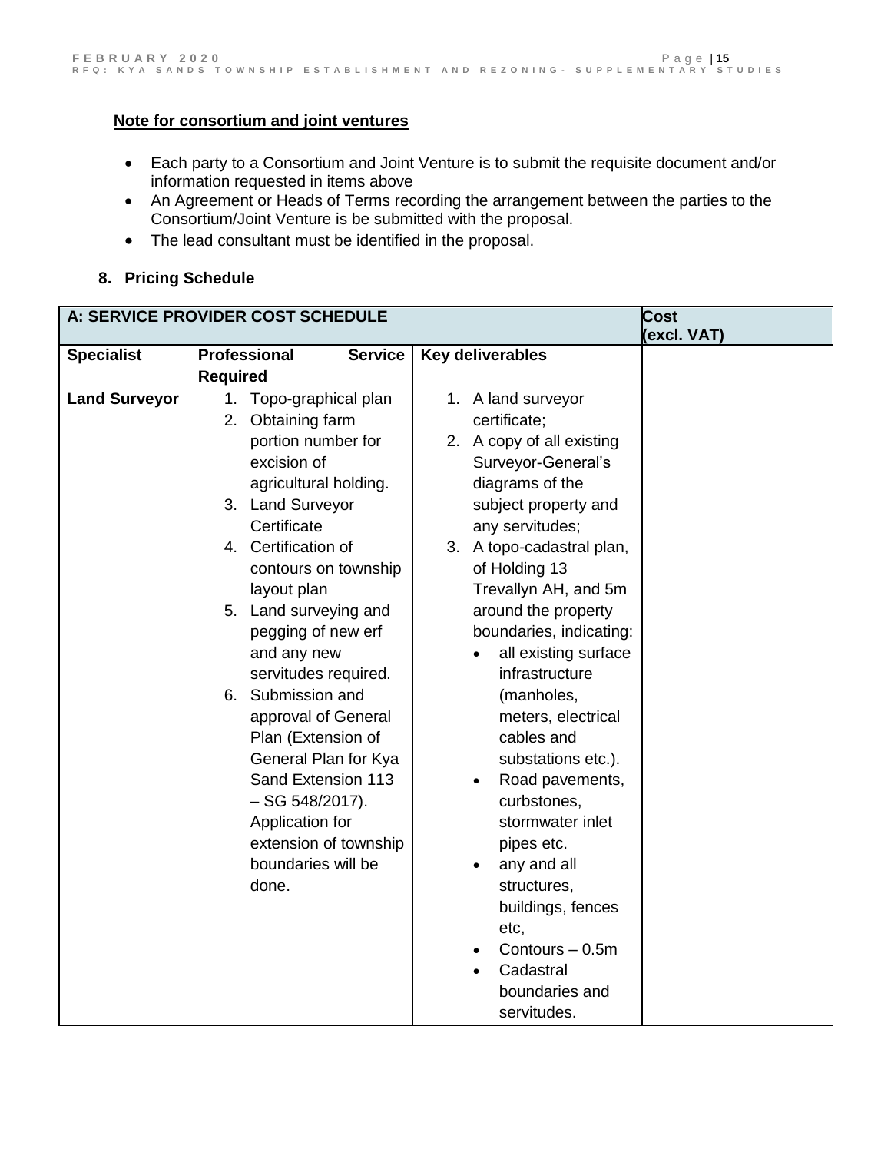### **Note for consortium and joint ventures**

- Each party to a Consortium and Joint Venture is to submit the requisite document and/or information requested in items above
- An Agreement or Heads of Terms recording the arrangement between the parties to the Consortium/Joint Venture is be submitted with the proposal.
- The lead consultant must be identified in the proposal.

### **8. Pricing Schedule**

|                                                                                                                                                                                                                                                                                                                                                                                                                                                                                                                     |                                                                                                                                                                                                                                                                                                                                                                                                                                                                                                                                                                                                          | <b>Cost</b><br>(excl. VAT) |
|---------------------------------------------------------------------------------------------------------------------------------------------------------------------------------------------------------------------------------------------------------------------------------------------------------------------------------------------------------------------------------------------------------------------------------------------------------------------------------------------------------------------|----------------------------------------------------------------------------------------------------------------------------------------------------------------------------------------------------------------------------------------------------------------------------------------------------------------------------------------------------------------------------------------------------------------------------------------------------------------------------------------------------------------------------------------------------------------------------------------------------------|----------------------------|
| <b>Professional</b><br><b>Service</b>                                                                                                                                                                                                                                                                                                                                                                                                                                                                               | Key deliverables                                                                                                                                                                                                                                                                                                                                                                                                                                                                                                                                                                                         |                            |
| <b>Required</b>                                                                                                                                                                                                                                                                                                                                                                                                                                                                                                     |                                                                                                                                                                                                                                                                                                                                                                                                                                                                                                                                                                                                          |                            |
| Topo-graphical plan<br>1.<br>2. Obtaining farm<br>portion number for<br>excision of<br>agricultural holding.<br>3. Land Surveyor<br>Certificate<br>4. Certification of<br>contours on township<br>layout plan<br>5. Land surveying and<br>pegging of new erf<br>and any new<br>servitudes required.<br>6. Submission and<br>approval of General<br>Plan (Extension of<br>General Plan for Kya<br>Sand Extension 113<br>$-$ SG 548/2017).<br>Application for<br>extension of township<br>boundaries will be<br>done. | 1. A land surveyor<br>certificate;<br>2. A copy of all existing<br>Surveyor-General's<br>diagrams of the<br>subject property and<br>any servitudes;<br>3. A topo-cadastral plan,<br>of Holding 13<br>Trevallyn AH, and 5m<br>around the property<br>boundaries, indicating:<br>all existing surface<br>infrastructure<br>(manholes,<br>meters, electrical<br>cables and<br>substations etc.).<br>Road pavements,<br>$\bullet$<br>curbstones,<br>stormwater inlet<br>pipes etc.<br>any and all<br>$\bullet$<br>structures,<br>buildings, fences<br>etc,<br>Contours - 0.5m<br>Cadastral<br>boundaries and |                            |
|                                                                                                                                                                                                                                                                                                                                                                                                                                                                                                                     | A: SERVICE PROVIDER COST SCHEDULE                                                                                                                                                                                                                                                                                                                                                                                                                                                                                                                                                                        | servitudes.                |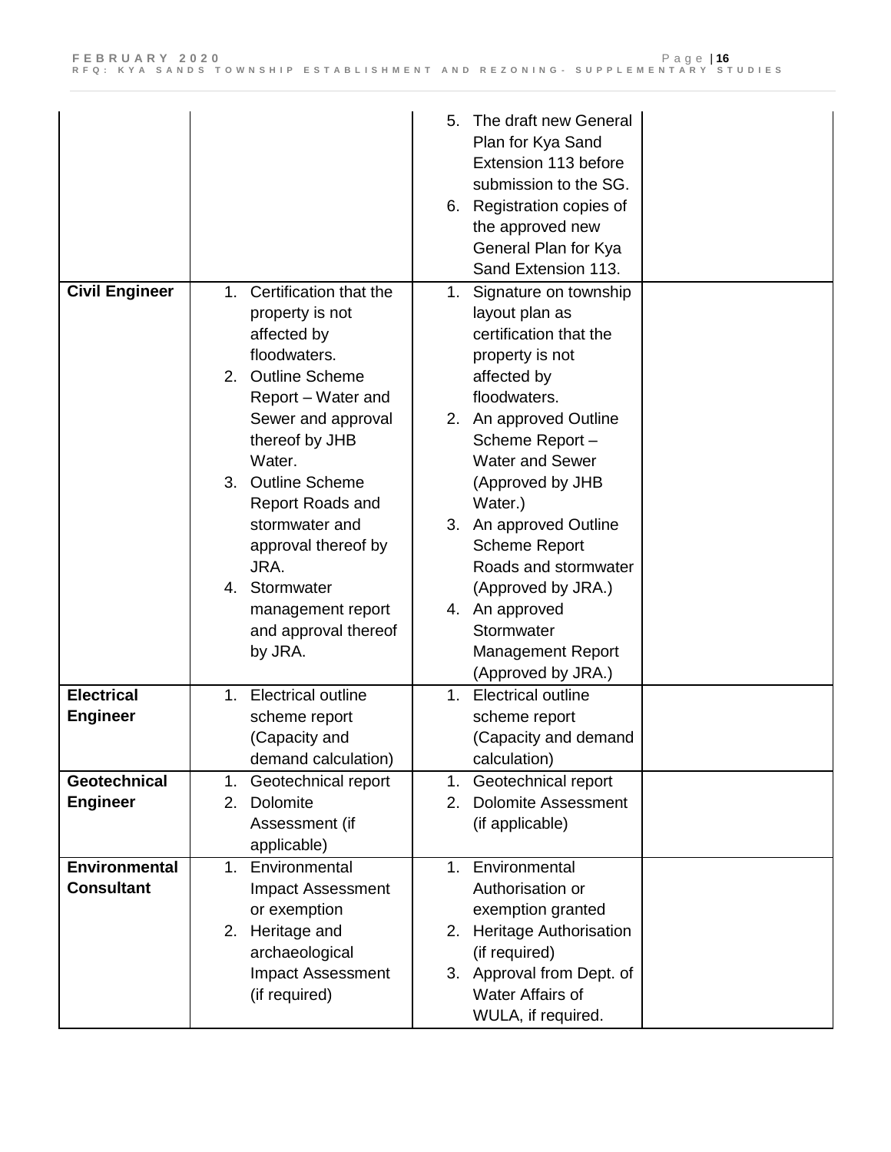|                                      |                                          | The draft new General<br>5.<br>Plan for Kya Sand<br>Extension 113 before<br>submission to the SG.<br>6. Registration copies of<br>the approved new<br>General Plan for Kya<br>Sand Extension 113. |
|--------------------------------------|------------------------------------------|---------------------------------------------------------------------------------------------------------------------------------------------------------------------------------------------------|
| <b>Civil Engineer</b>                | 1. Certification that the                | Signature on township<br>1.                                                                                                                                                                       |
|                                      | property is not                          | layout plan as                                                                                                                                                                                    |
|                                      | affected by                              | certification that the                                                                                                                                                                            |
|                                      | floodwaters.                             | property is not                                                                                                                                                                                   |
|                                      | 2. Outline Scheme                        | affected by<br>floodwaters.                                                                                                                                                                       |
|                                      | Report - Water and<br>Sewer and approval | 2. An approved Outline                                                                                                                                                                            |
|                                      | thereof by JHB                           | Scheme Report-                                                                                                                                                                                    |
|                                      | Water.                                   | <b>Water and Sewer</b>                                                                                                                                                                            |
|                                      | <b>Outline Scheme</b><br>3.              | (Approved by JHB                                                                                                                                                                                  |
|                                      | Report Roads and                         | Water.)                                                                                                                                                                                           |
|                                      | stormwater and                           | An approved Outline<br>3.                                                                                                                                                                         |
|                                      | approval thereof by                      | <b>Scheme Report</b>                                                                                                                                                                              |
|                                      | JRA.                                     | Roads and stormwater                                                                                                                                                                              |
|                                      | Stormwater<br>4.                         | (Approved by JRA.)                                                                                                                                                                                |
|                                      | management report                        | 4. An approved                                                                                                                                                                                    |
|                                      | and approval thereof                     | Stormwater                                                                                                                                                                                        |
|                                      | by JRA.                                  | <b>Management Report</b>                                                                                                                                                                          |
|                                      |                                          | (Approved by JRA.)                                                                                                                                                                                |
| <b>Electrical</b><br><b>Engineer</b> | Electrical outline<br>1.                 | <b>Electrical outline</b><br>1 <sub>1</sub>                                                                                                                                                       |
|                                      | scheme report<br>(Capacity and           | scheme report<br>(Capacity and demand                                                                                                                                                             |
|                                      | demand calculation)                      | calculation)                                                                                                                                                                                      |
| Geotechnical                         | Geotechnical report<br>1.                | Geotechnical report<br>1.                                                                                                                                                                         |
| <b>Engineer</b>                      | Dolomite<br>2.                           | <b>Dolomite Assessment</b><br>2.                                                                                                                                                                  |
|                                      | Assessment (if                           | (if applicable)                                                                                                                                                                                   |
|                                      | applicable)                              |                                                                                                                                                                                                   |
| <b>Environmental</b>                 | 1. Environmental                         | 1. Environmental                                                                                                                                                                                  |
| <b>Consultant</b>                    | Impact Assessment                        | Authorisation or                                                                                                                                                                                  |
|                                      | or exemption                             | exemption granted                                                                                                                                                                                 |
|                                      | 2. Heritage and                          | <b>Heritage Authorisation</b><br>2.                                                                                                                                                               |
|                                      | archaeological                           | (if required)                                                                                                                                                                                     |
|                                      | Impact Assessment<br>(if required)       | 3. Approval from Dept. of<br>Water Affairs of                                                                                                                                                     |
|                                      |                                          | WULA, if required.                                                                                                                                                                                |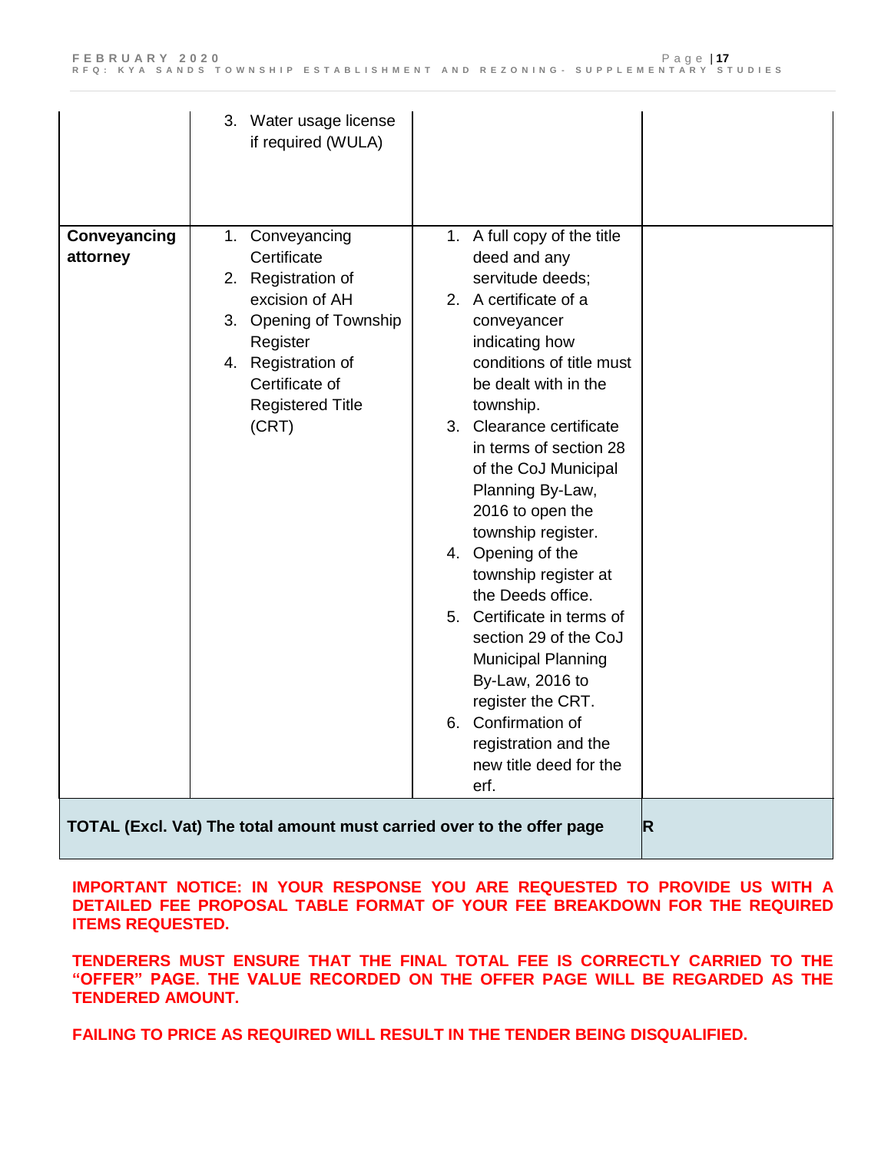|                          | 3. Water usage license<br>if required (WULA)                                                                                                                                             |                                                                                                                                                                                                                                                                                                                                                                                                                                                                                                                                                                                                                      |             |
|--------------------------|------------------------------------------------------------------------------------------------------------------------------------------------------------------------------------------|----------------------------------------------------------------------------------------------------------------------------------------------------------------------------------------------------------------------------------------------------------------------------------------------------------------------------------------------------------------------------------------------------------------------------------------------------------------------------------------------------------------------------------------------------------------------------------------------------------------------|-------------|
| Conveyancing<br>attorney | 1. Conveyancing<br>Certificate<br>2. Registration of<br>excision of AH<br>3. Opening of Township<br>Register<br>4. Registration of<br>Certificate of<br><b>Registered Title</b><br>(CRT) | 1. A full copy of the title<br>deed and any<br>servitude deeds;<br>2. A certificate of a<br>conveyancer<br>indicating how<br>conditions of title must<br>be dealt with in the<br>township.<br>3. Clearance certificate<br>in terms of section 28<br>of the CoJ Municipal<br>Planning By-Law,<br>2016 to open the<br>township register.<br>4. Opening of the<br>township register at<br>the Deeds office.<br>5. Certificate in terms of<br>section 29 of the CoJ<br><b>Municipal Planning</b><br>By-Law, 2016 to<br>register the CRT.<br>6. Confirmation of<br>registration and the<br>new title deed for the<br>erf. |             |
|                          | TOTAL (Excl. Vat) The total amount must carried over to the offer page                                                                                                                   |                                                                                                                                                                                                                                                                                                                                                                                                                                                                                                                                                                                                                      | $\mathsf R$ |

**IMPORTANT NOTICE: IN YOUR RESPONSE YOU ARE REQUESTED TO PROVIDE US WITH A DETAILED FEE PROPOSAL TABLE FORMAT OF YOUR FEE BREAKDOWN FOR THE REQUIRED ITEMS REQUESTED.**

**TENDERERS MUST ENSURE THAT THE FINAL TOTAL FEE IS CORRECTLY CARRIED TO THE "OFFER" PAGE. THE VALUE RECORDED ON THE OFFER PAGE WILL BE REGARDED AS THE TENDERED AMOUNT.** 

**FAILING TO PRICE AS REQUIRED WILL RESULT IN THE TENDER BEING DISQUALIFIED.**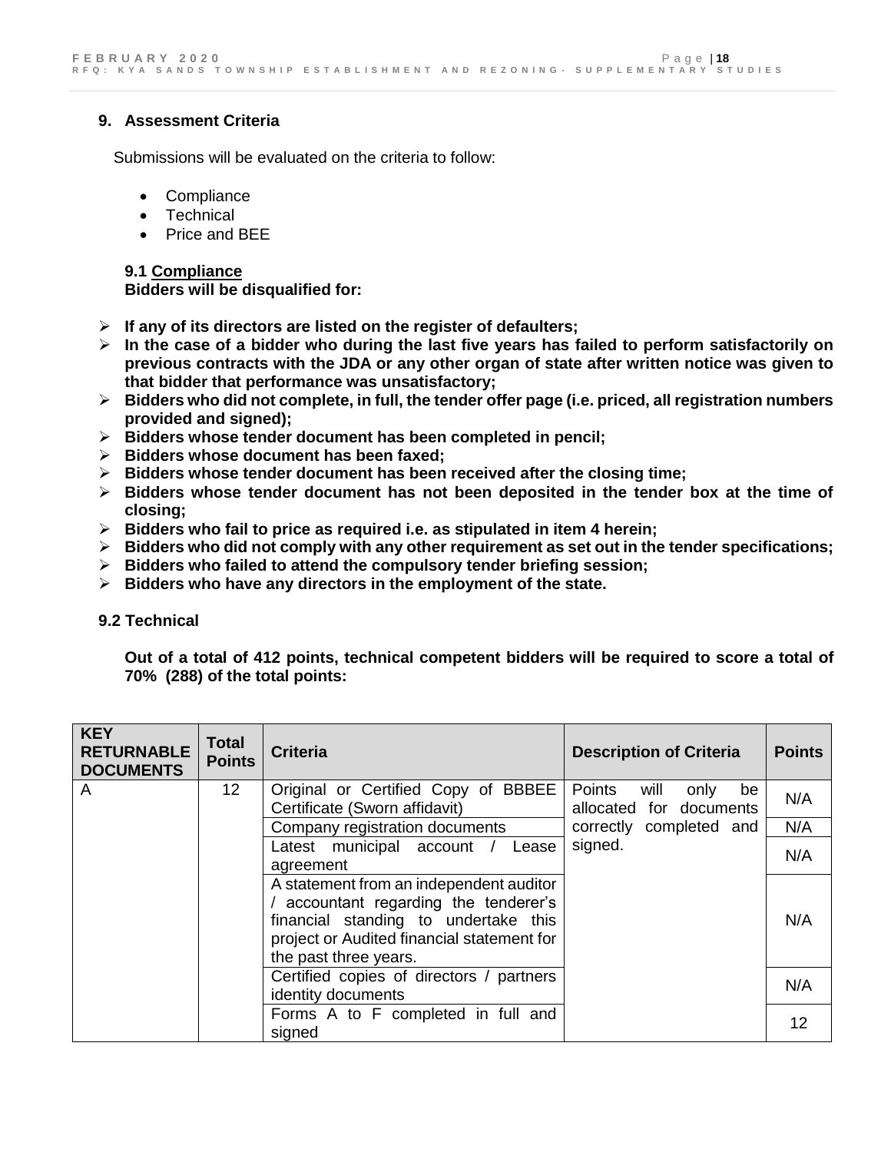### **9. Assessment Criteria**

Submissions will be evaluated on the criteria to follow:

- Compliance
- Technical
- Price and BEE

**9.1 Compliance Bidders will be disqualified for:**

- **If any of its directors are listed on the register of defaulters;**
- **In the case of a bidder who during the last five years has failed to perform satisfactorily on previous contracts with the JDA or any other organ of state after written notice was given to that bidder that performance was unsatisfactory;**
- **Bidders who did not complete, in full, the tender offer page (i.e. priced, all registration numbers provided and signed);**
- **Bidders whose tender document has been completed in pencil;**
- **Bidders whose document has been faxed;**
- **Bidders whose tender document has been received after the closing time;**
- **Bidders whose tender document has not been deposited in the tender box at the time of closing;**
- **Bidders who fail to price as required i.e. as stipulated in item 4 herein;**
- **Bidders who did not comply with any other requirement as set out in the tender specifications;**
- **Bidders who failed to attend the compulsory tender briefing session;**
- **Bidders who have any directors in the employment of the state.**

#### **9.2 Technical**

**Out of a total of 412 points, technical competent bidders will be required to score a total of 70% (288) of the total points:** 

| <b>KEY</b><br><b>RETURNABLE</b><br><b>DOCUMENTS</b> | <b>Total</b><br><b>Points</b> | <b>Criteria</b>                                                                                                                                                                                 | <b>Description of Criteria</b>                          | <b>Points</b> |
|-----------------------------------------------------|-------------------------------|-------------------------------------------------------------------------------------------------------------------------------------------------------------------------------------------------|---------------------------------------------------------|---------------|
| A                                                   | 12 <sub>2</sub>               | Original or Certified Copy of BBBEE<br>Certificate (Sworn affidavit)                                                                                                                            | Points<br>will<br>only<br>be<br>allocated for documents | N/A           |
|                                                     |                               | Company registration documents                                                                                                                                                                  | correctly completed and                                 | N/A           |
|                                                     |                               | Latest municipal account /<br>Lease<br>agreement                                                                                                                                                | signed.                                                 | N/A           |
|                                                     |                               | A statement from an independent auditor<br>/ accountant regarding the tenderer's<br>financial standing to undertake this<br>project or Audited financial statement for<br>the past three years. |                                                         | N/A           |
|                                                     |                               | Certified copies of directors / partners<br>identity documents                                                                                                                                  |                                                         | N/A           |
|                                                     |                               | Forms A to F completed in full and<br>signed                                                                                                                                                    |                                                         | 12            |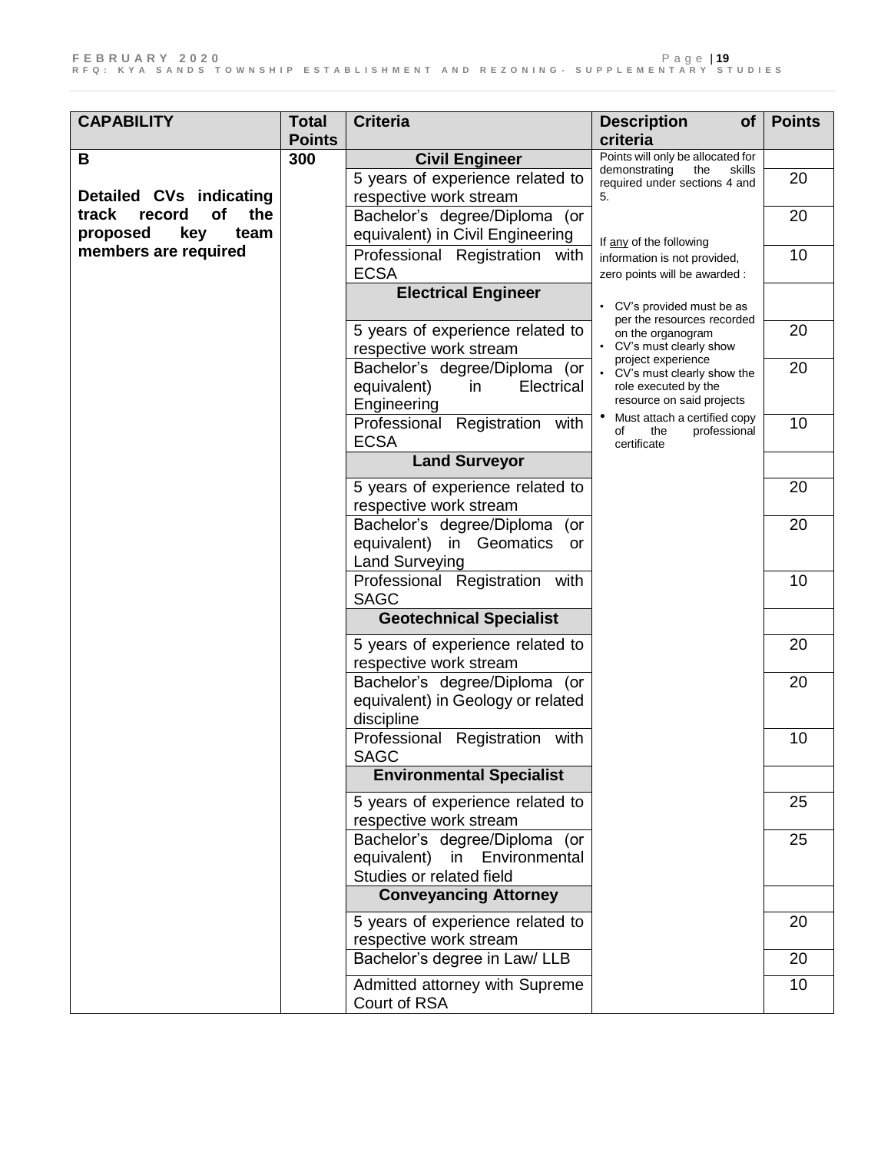| <b>CAPABILITY</b>            | <b>Total</b>  | <b>Criteria</b>                                                                                    | <b>Description</b><br><b>of</b>                                                                         | <b>Points</b> |
|------------------------------|---------------|----------------------------------------------------------------------------------------------------|---------------------------------------------------------------------------------------------------------|---------------|
|                              | <b>Points</b> |                                                                                                    | criteria                                                                                                |               |
| B                            | 300           | <b>Civil Engineer</b>                                                                              | Points will only be allocated for                                                                       |               |
|                              |               | 5 years of experience related to                                                                   | demonstrating<br>the<br>skills<br>required under sections 4 and                                         | 20            |
| Detailed CVs indicating      |               | respective work stream                                                                             | 5.                                                                                                      |               |
| the<br>track<br>record<br>of |               | Bachelor's degree/Diploma (or                                                                      |                                                                                                         | 20            |
| proposed<br>key<br>team      |               | equivalent) in Civil Engineering                                                                   | If any of the following                                                                                 |               |
| members are required         |               | Professional Registration with<br><b>ECSA</b>                                                      | information is not provided,<br>zero points will be awarded :                                           | 10            |
|                              |               | <b>Electrical Engineer</b>                                                                         | • CV's provided must be as                                                                              |               |
|                              |               |                                                                                                    | per the resources recorded                                                                              | 20            |
|                              |               | 5 years of experience related to<br>respective work stream                                         | on the organogram<br>• CV's must clearly show                                                           |               |
|                              |               | Bachelor's degree/Diploma (or<br>equivalent)<br>Electrical<br>in<br>Engineering                    | project experience<br>• CV's must clearly show the<br>role executed by the<br>resource on said projects | 20            |
|                              |               | Professional Registration with<br><b>ECSA</b>                                                      | Must attach a certified copy<br>the<br>of<br>professional<br>certificate                                | 10            |
|                              |               | <b>Land Surveyor</b>                                                                               |                                                                                                         |               |
|                              |               | 5 years of experience related to<br>respective work stream                                         |                                                                                                         | 20            |
|                              |               | Bachelor's degree/Diploma<br>(or<br>equivalent) in Geomatics<br><b>or</b><br><b>Land Surveying</b> |                                                                                                         | 20            |
|                              |               | Professional Registration with<br><b>SAGC</b>                                                      |                                                                                                         | 10            |
|                              |               | <b>Geotechnical Specialist</b>                                                                     |                                                                                                         |               |
|                              |               | 5 years of experience related to<br>respective work stream                                         |                                                                                                         | 20            |
|                              |               | Bachelor's degree/Diploma (or<br>equivalent) in Geology or related                                 |                                                                                                         | 20            |
|                              |               | discipline                                                                                         |                                                                                                         |               |
|                              |               | Professional Registration with<br><b>SAGC</b>                                                      |                                                                                                         | 10            |
|                              |               | <b>Environmental Specialist</b>                                                                    |                                                                                                         |               |
|                              |               | 5 years of experience related to                                                                   |                                                                                                         | 25            |
|                              |               | respective work stream                                                                             |                                                                                                         |               |
|                              |               | Bachelor's degree/Diploma (or                                                                      |                                                                                                         | 25            |
|                              |               | equivalent) in Environmental                                                                       |                                                                                                         |               |
|                              |               | Studies or related field                                                                           |                                                                                                         |               |
|                              |               | <b>Conveyancing Attorney</b>                                                                       |                                                                                                         |               |
|                              |               | 5 years of experience related to<br>respective work stream                                         |                                                                                                         | 20            |
|                              |               | Bachelor's degree in Law/ LLB                                                                      |                                                                                                         | 20            |
|                              |               | Admitted attorney with Supreme<br>Court of RSA                                                     |                                                                                                         | 10            |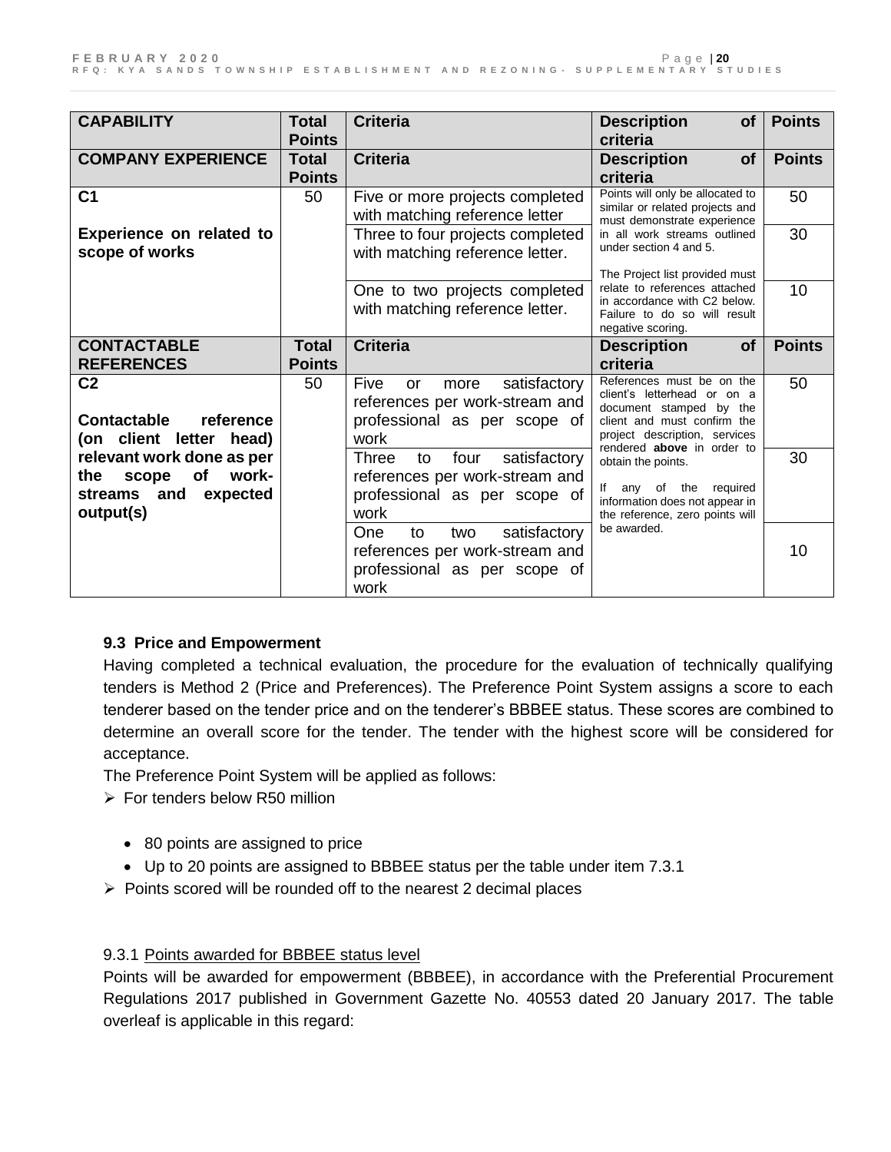| <b>CAPABILITY</b>               | <b>Total</b>  | <b>Criteria</b>                     | <b>Description</b><br>Οf                                          | <b>Points</b> |
|---------------------------------|---------------|-------------------------------------|-------------------------------------------------------------------|---------------|
|                                 | <b>Points</b> |                                     | criteria                                                          |               |
| <b>COMPANY EXPERIENCE</b>       | Total         | <b>Criteria</b>                     | <b>Description</b><br>Οf                                          | <b>Points</b> |
|                                 | <b>Points</b> |                                     | criteria                                                          |               |
| C <sub>1</sub>                  | 50            | Five or more projects completed     | Points will only be allocated to                                  | 50            |
|                                 |               | with matching reference letter      | similar or related projects and<br>must demonstrate experience    |               |
| <b>Experience on related to</b> |               | Three to four projects completed    | in all work streams outlined                                      | 30            |
| scope of works                  |               | with matching reference letter.     | under section 4 and 5.                                            |               |
|                                 |               |                                     | The Project list provided must                                    |               |
|                                 |               | One to two projects completed       | relate to references attached                                     | 10            |
|                                 |               | with matching reference letter.     | in accordance with C2 below.<br>Failure to do so will result      |               |
|                                 |               |                                     | negative scoring.                                                 |               |
| <b>CONTACTABLE</b>              | <b>Total</b>  | <b>Criteria</b>                     | <b>Description</b><br><b>of</b>                                   | <b>Points</b> |
| <b>REFERENCES</b>               | <b>Points</b> |                                     | criteria                                                          |               |
| C <sub>2</sub>                  | 50            | Five<br>satisfactory<br>or<br>more  | References must be on the                                         | 50            |
|                                 |               | references per work-stream and      | client's letterhead or on a<br>document stamped by the            |               |
| <b>Contactable</b><br>reference |               | professional as per scope of        | client and must confirm the                                       |               |
| (on client letter<br>head)      |               | work                                | project description, services<br>rendered above in order to       |               |
| relevant work done as per       |               | satisfactory<br>Three<br>four<br>to | obtain the points.                                                | 30            |
| of<br>work-<br>the<br>scope     |               | references per work-stream and      |                                                                   |               |
| expected<br>streams<br>and      |               | professional as per scope of        | required<br>lf<br>any<br>of the<br>information does not appear in |               |
| output(s)                       |               | work                                | the reference, zero points will                                   |               |
|                                 |               | satisfactory<br>One<br>to<br>two    | be awarded.                                                       |               |
|                                 |               | references per work-stream and      |                                                                   | 10            |
|                                 |               | professional as per scope of        |                                                                   |               |
|                                 |               | work                                |                                                                   |               |

### **9.3 Price and Empowerment**

Having completed a technical evaluation, the procedure for the evaluation of technically qualifying tenders is Method 2 (Price and Preferences). The Preference Point System assigns a score to each tenderer based on the tender price and on the tenderer's BBBEE status. These scores are combined to determine an overall score for the tender. The tender with the highest score will be considered for acceptance.

The Preference Point System will be applied as follows:

- $\triangleright$  For tenders below R50 million
	- 80 points are assigned to price
	- Up to 20 points are assigned to BBBEE status per the table under item 7.3.1
- $\triangleright$  Points scored will be rounded off to the nearest 2 decimal places

### 9.3.1 Points awarded for BBBEE status level

Points will be awarded for empowerment (BBBEE), in accordance with the Preferential Procurement Regulations 2017 published in Government Gazette No. 40553 dated 20 January 2017. The table overleaf is applicable in this regard: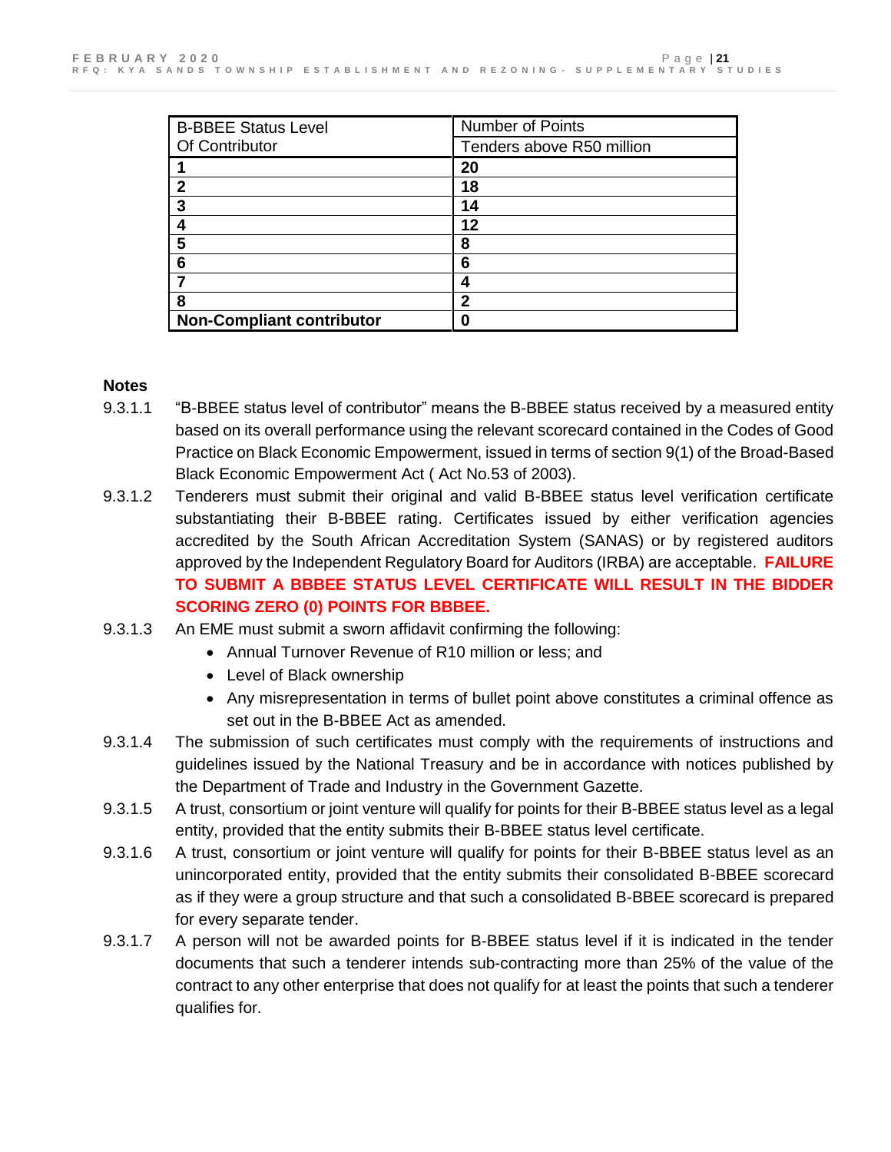| <b>B-BBEE Status Level</b>       | Number of Points          |
|----------------------------------|---------------------------|
| Of Contributor                   | Tenders above R50 million |
|                                  | 20                        |
| $\mathbf{2}$                     | 18                        |
| 3                                | 14                        |
| 4                                | 12                        |
| 5                                | 8                         |
| -6                               | 6                         |
|                                  | 4                         |
| 8                                | $\mathbf 2$               |
| <b>Non-Compliant contributor</b> |                           |

#### **Notes**

- 9.3.1.1 "B-BBEE status level of contributor" means the B-BBEE status received by a measured entity based on its overall performance using the relevant scorecard contained in the Codes of Good Practice on Black Economic Empowerment, issued in terms of section 9(1) of the Broad-Based Black Economic Empowerment Act ( Act No.53 of 2003).
- 9.3.1.2 Tenderers must submit their original and valid B-BBEE status level verification certificate substantiating their B-BBEE rating. Certificates issued by either verification agencies accredited by the South African Accreditation System (SANAS) or by registered auditors approved by the Independent Regulatory Board for Auditors (IRBA) are acceptable. **FAILURE TO SUBMIT A BBBEE STATUS LEVEL CERTIFICATE WILL RESULT IN THE BIDDER SCORING ZERO (0) POINTS FOR BBBEE.**
- 9.3.1.3 An EME must submit a sworn affidavit confirming the following:
	- Annual Turnover Revenue of R10 million or less; and
	- Level of Black ownership
	- Any misrepresentation in terms of bullet point above constitutes a criminal offence as set out in the B-BBEE Act as amended.
- 9.3.1.4 The submission of such certificates must comply with the requirements of instructions and guidelines issued by the National Treasury and be in accordance with notices published by the Department of Trade and Industry in the Government Gazette.
- 9.3.1.5 A trust, consortium or joint venture will qualify for points for their B-BBEE status level as a legal entity, provided that the entity submits their B-BBEE status level certificate.
- 9.3.1.6 A trust, consortium or joint venture will qualify for points for their B-BBEE status level as an unincorporated entity, provided that the entity submits their consolidated B-BBEE scorecard as if they were a group structure and that such a consolidated B-BBEE scorecard is prepared for every separate tender.
- 9.3.1.7 A person will not be awarded points for B-BBEE status level if it is indicated in the tender documents that such a tenderer intends sub-contracting more than 25% of the value of the contract to any other enterprise that does not qualify for at least the points that such a tenderer qualifies for.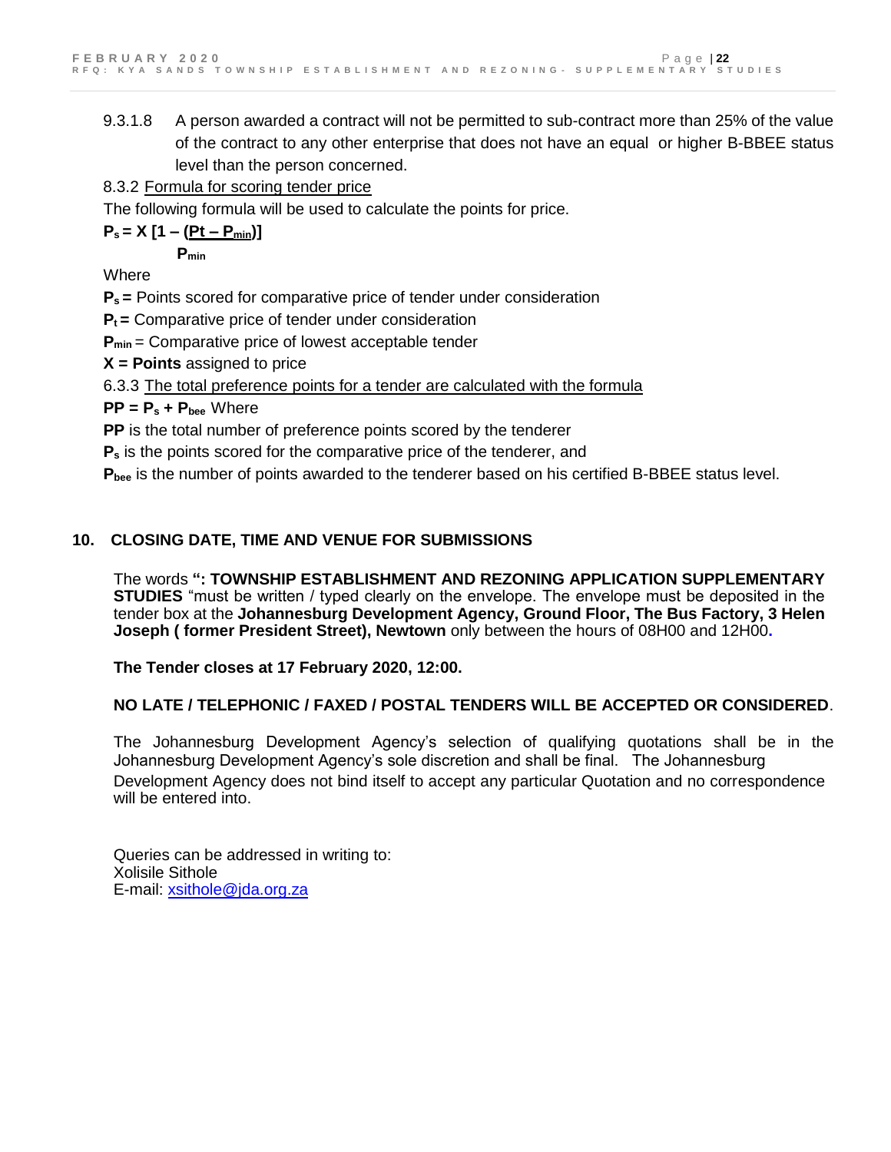9.3.1.8 A person awarded a contract will not be permitted to sub-contract more than 25% of the value of the contract to any other enterprise that does not have an equal or higher B-BBEE status level than the person concerned.

8.3.2 Formula for scoring tender price

The following formula will be used to calculate the points for price.

 $P_s = X [1 - (Pt - P_{min})]$ 

**Pmin**

Where

**Ps =** Points scored for comparative price of tender under consideration

**Pt =** Comparative price of tender under consideration

**P**<sub>min</sub> = Comparative price of lowest acceptable tender

**X = Points** assigned to price

6.3.3 The total preference points for a tender are calculated with the formula

**PP = P<sup>s</sup> + Pbee** Where

**PP** is the total number of preference points scored by the tenderer

**P<sup>s</sup>** is the points scored for the comparative price of the tenderer, and

**Pbee** is the number of points awarded to the tenderer based on his certified B-BBEE status level.

# **10. CLOSING DATE, TIME AND VENUE FOR SUBMISSIONS**

The words **": TOWNSHIP ESTABLISHMENT AND REZONING APPLICATION SUPPLEMENTARY STUDIES** "must be written / typed clearly on the envelope. The envelope must be deposited in the tender box at the **Johannesburg Development Agency, Ground Floor, The Bus Factory, 3 Helen Joseph ( former President Street), Newtown** only between the hours of 08H00 and 12H00**.**

**The Tender closes at 17 February 2020, 12:00.** 

# **NO LATE / TELEPHONIC / FAXED / POSTAL TENDERS WILL BE ACCEPTED OR CONSIDERED**.

The Johannesburg Development Agency's selection of qualifying quotations shall be in the Johannesburg Development Agency's sole discretion and shall be final. The Johannesburg Development Agency does not bind itself to accept any particular Quotation and no correspondence will be entered into.

Queries can be addressed in writing to: Xolisile Sithole E-mail: [xsithole@jda.org.za](mailto:Lsikiti@jda.org.za)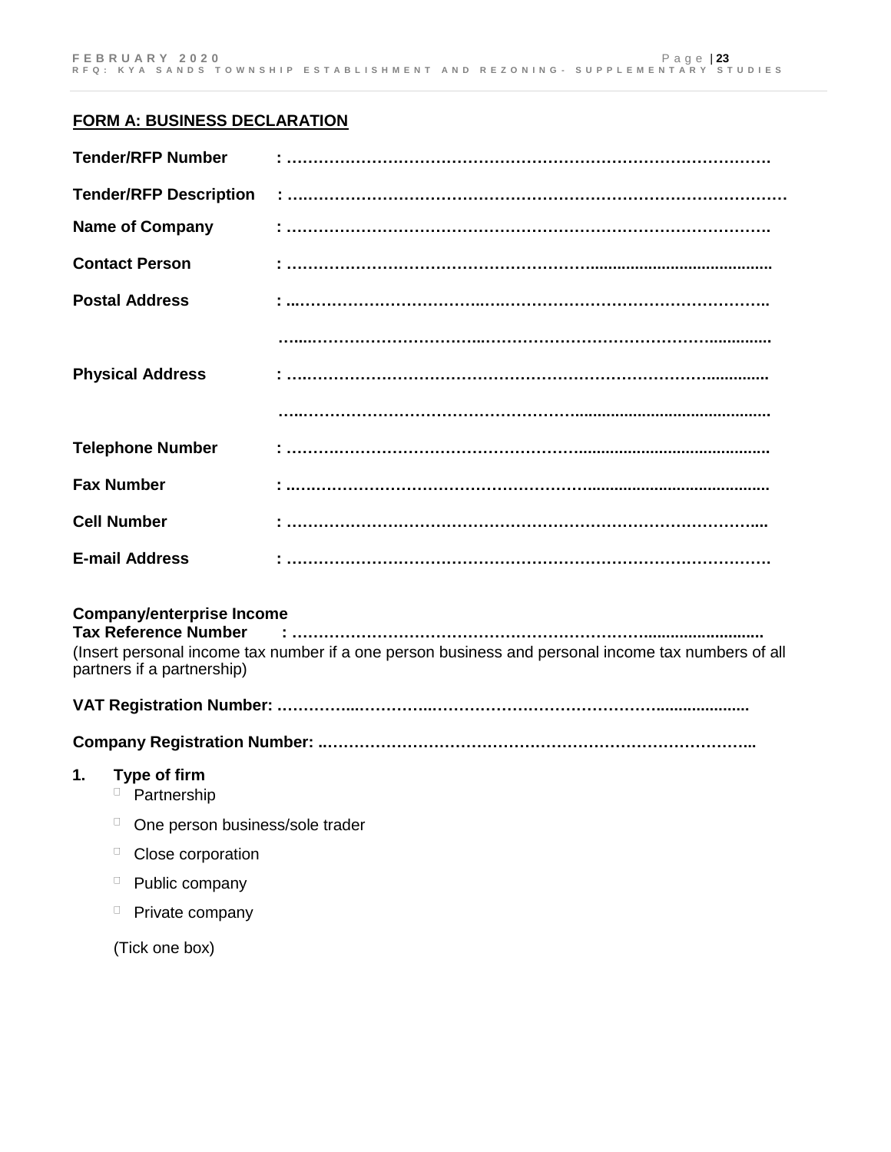#### **FORM A: BUSINESS DECLARATION**

| <b>Tender/RFP Number</b>         |                                                                                                               |
|----------------------------------|---------------------------------------------------------------------------------------------------------------|
| <b>Tender/RFP Description</b>    |                                                                                                               |
| <b>Name of Company</b>           |                                                                                                               |
| <b>Contact Person</b>            |                                                                                                               |
| <b>Postal Address</b>            |                                                                                                               |
|                                  |                                                                                                               |
| <b>Physical Address</b>          |                                                                                                               |
|                                  |                                                                                                               |
| <b>Telephone Number</b>          |                                                                                                               |
| <b>Fax Number</b>                |                                                                                                               |
| <b>Cell Number</b>               |                                                                                                               |
| <b>E-mail Address</b>            |                                                                                                               |
| <b>Company/enterprise Income</b> |                                                                                                               |
|                                  | 1000 March 2010 March 2010 March 2010 March 2010 March 2010 March 2010 March 2010 March 2010 March 2010 March |

(Insert personal income tax number if a one person business and personal income tax numbers of all partners if a partnership)

### **VAT Registration Number: .…………...…………..…………………………………….....................**

#### **Company Registration Number: ..……………………………………………………………………...**

#### **1. Type of firm**

- <sup>D</sup> Partnership
- $\Box$  One person business/sole trader
- <sup>D</sup> Close corporation
- $\Box$  Public company
- $\Box$  Private company

(Tick one box)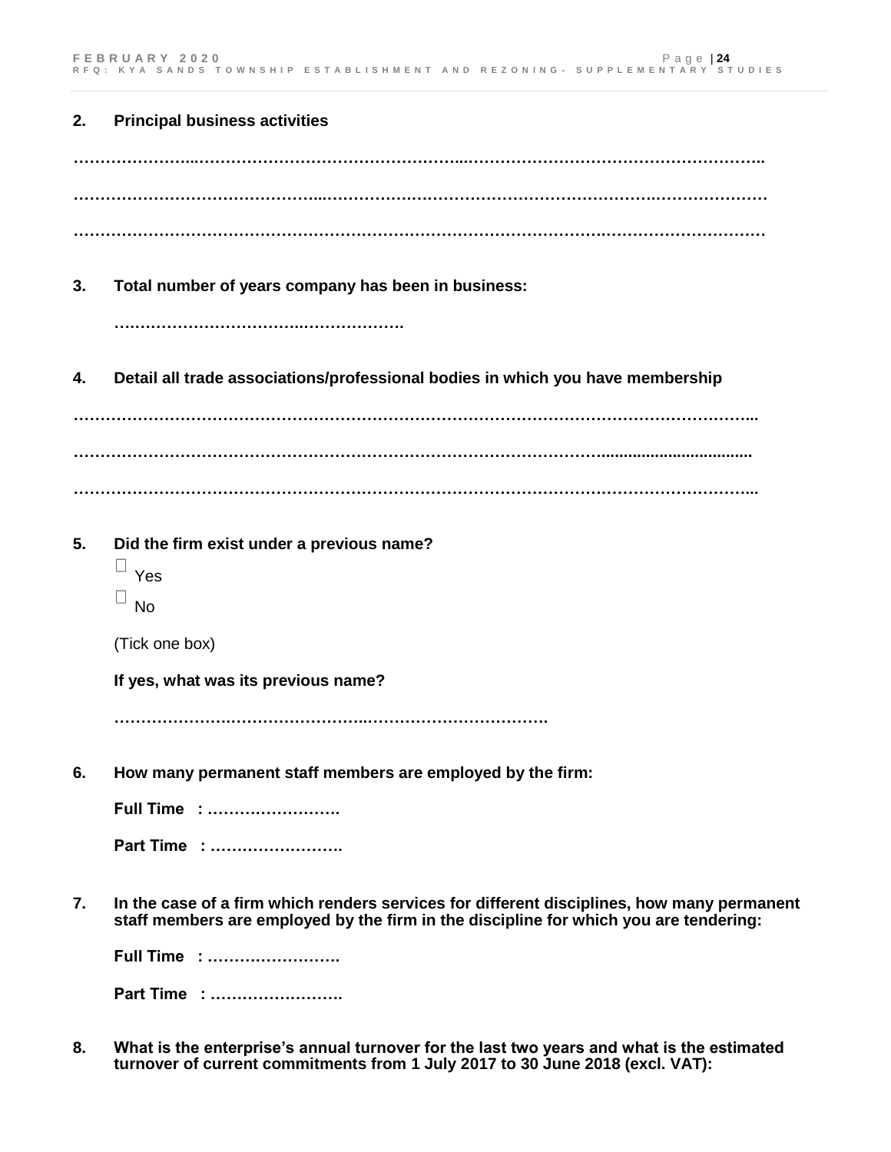| 2. | <b>Principal business activities</b>                                                                                                                                                |
|----|-------------------------------------------------------------------------------------------------------------------------------------------------------------------------------------|
|    |                                                                                                                                                                                     |
|    |                                                                                                                                                                                     |
|    |                                                                                                                                                                                     |
| 3. | Total number of years company has been in business:                                                                                                                                 |
|    |                                                                                                                                                                                     |
| 4. | Detail all trade associations/professional bodies in which you have membership                                                                                                      |
|    |                                                                                                                                                                                     |
|    |                                                                                                                                                                                     |
|    |                                                                                                                                                                                     |
| 5. | Did the firm exist under a previous name?                                                                                                                                           |
|    | Ц<br>Yes                                                                                                                                                                            |
|    | <b>No</b>                                                                                                                                                                           |
|    | (Tick one box)                                                                                                                                                                      |
|    | If yes, what was its previous name?                                                                                                                                                 |
|    |                                                                                                                                                                                     |
| 6. | How many permanent staff members are employed by the firm:                                                                                                                          |
|    | <b>Full Time : </b>                                                                                                                                                                 |
|    | Part Time :                                                                                                                                                                         |
| 7. | In the case of a firm which renders services for different disciplines, how many permanent<br>staff members are employed by the firm in the discipline for which you are tendering: |
|    | <b>Full Time : </b>                                                                                                                                                                 |
|    | Part Time :                                                                                                                                                                         |
|    | وعاله ورجائه ويرجح وسردية المردود ويحرجون                                                                                                                                           |

**8. What is the enterprise's annual turnover for the last two years and what is the estimated turnover of current commitments from 1 July 2017 to 30 June 2018 (excl. VAT):**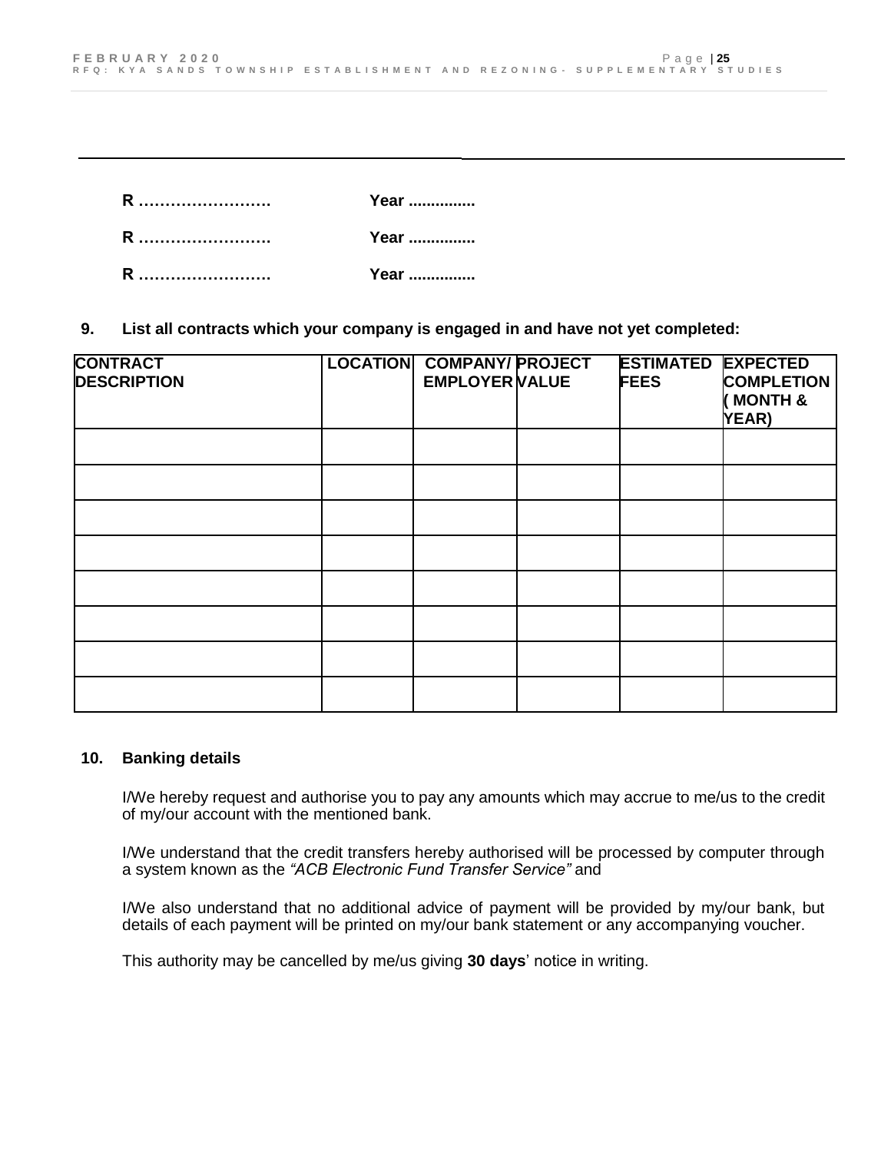**R ……………………. Year ............... R ……………………. Year ............... R ……………………. Year ...............**

**9. List all contracts which your company is engaged in and have not yet completed:** 

| <b>CONTRACT</b><br><b>DESCRIPTION</b> | <b>LOCATION COMPANY/ PROJECT</b><br><b>EMPLOYER VALUE</b> | <b>ESTIMATED EXPECTED</b><br><b>FEES</b> | <b>COMPLETION</b><br><b>&amp; HTMON</b><br><b>YEAR)</b> |
|---------------------------------------|-----------------------------------------------------------|------------------------------------------|---------------------------------------------------------|
|                                       |                                                           |                                          |                                                         |
|                                       |                                                           |                                          |                                                         |
|                                       |                                                           |                                          |                                                         |
|                                       |                                                           |                                          |                                                         |
|                                       |                                                           |                                          |                                                         |
|                                       |                                                           |                                          |                                                         |
|                                       |                                                           |                                          |                                                         |
|                                       |                                                           |                                          |                                                         |

#### **10. Banking details**

I/We hereby request and authorise you to pay any amounts which may accrue to me/us to the credit of my/our account with the mentioned bank.

I/We understand that the credit transfers hereby authorised will be processed by computer through a system known as the *"ACB Electronic Fund Transfer Service"* and

I/We also understand that no additional advice of payment will be provided by my/our bank, but details of each payment will be printed on my/our bank statement or any accompanying voucher.

This authority may be cancelled by me/us giving **30 days**' notice in writing.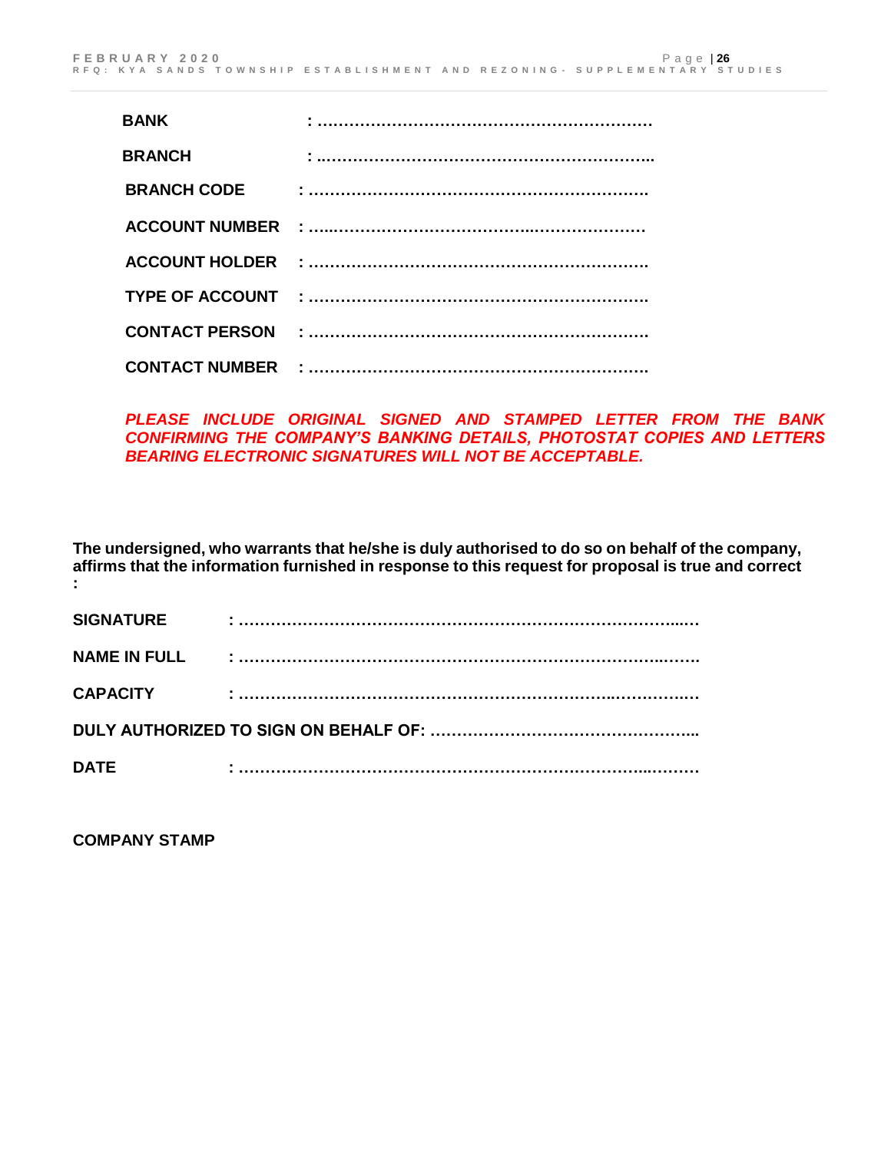| <b>BANK</b>        |  |
|--------------------|--|
| <b>BRANCH</b>      |  |
| <b>BRANCH CODE</b> |  |
|                    |  |
|                    |  |
|                    |  |
|                    |  |
|                    |  |

*PLEASE INCLUDE ORIGINAL SIGNED AND STAMPED LETTER FROM THE BANK CONFIRMING THE COMPANY'S BANKING DETAILS, PHOTOSTAT COPIES AND LETTERS BEARING ELECTRONIC SIGNATURES WILL NOT BE ACCEPTABLE.*

**The undersigned, who warrants that he/she is duly authorised to do so on behalf of the company, affirms that the information furnished in response to this request for proposal is true and correct :**

| <b>SIGNATURE</b>    | ٠ |  |  |  |
|---------------------|---|--|--|--|
| <b>NAME IN FULL</b> |   |  |  |  |
| <b>CAPACITY</b>     | ٠ |  |  |  |
|                     |   |  |  |  |
| <b>DATE</b>         |   |  |  |  |

**COMPANY STAMP**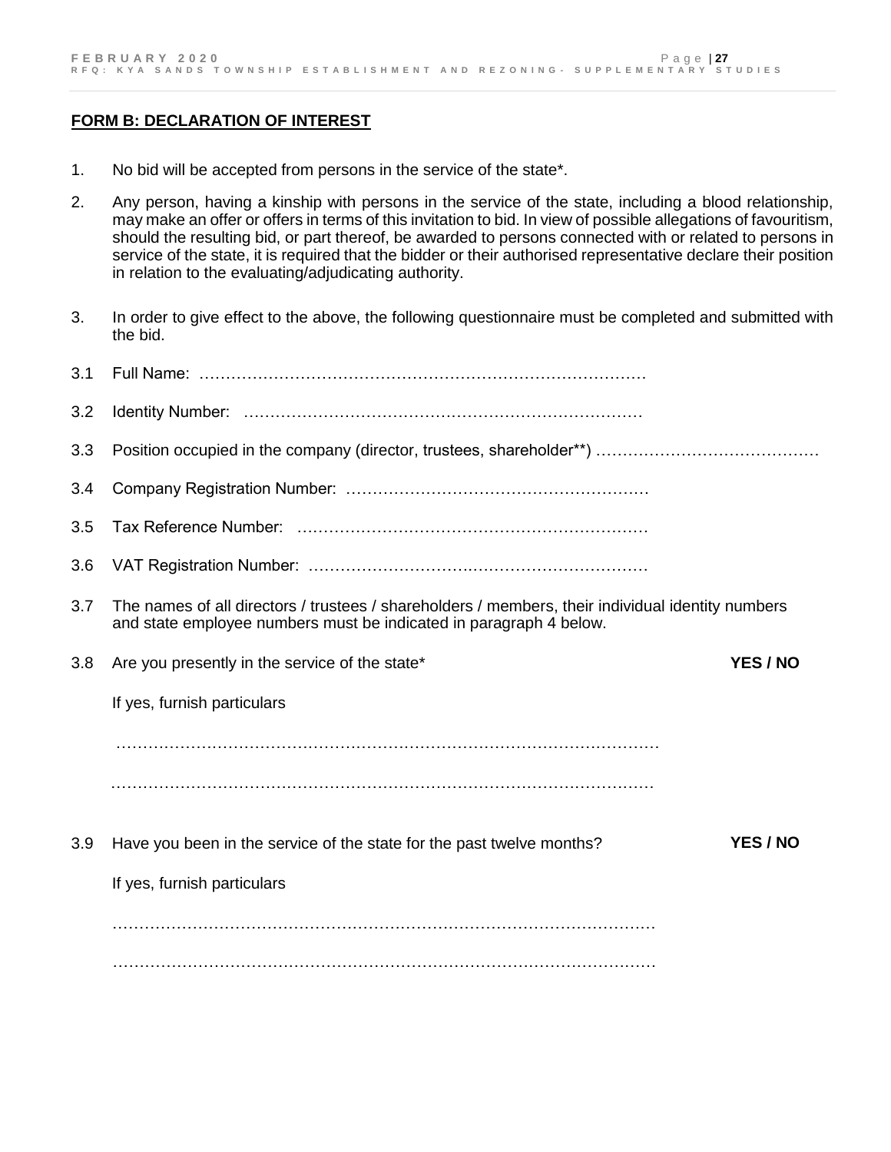#### **FORM B: DECLARATION OF INTEREST**

- 1. No bid will be accepted from persons in the service of the state\*.
- 2. Any person, having a kinship with persons in the service of the state, including a blood relationship, may make an offer or offers in terms of this invitation to bid. In view of possible allegations of favouritism, should the resulting bid, or part thereof, be awarded to persons connected with or related to persons in service of the state, it is required that the bidder or their authorised representative declare their position in relation to the evaluating/adjudicating authority.
- 3. In order to give effect to the above, the following questionnaire must be completed and submitted with the bid.

| 3.1 |                                                                                                                                                                         |          |
|-----|-------------------------------------------------------------------------------------------------------------------------------------------------------------------------|----------|
| 3.2 |                                                                                                                                                                         |          |
| 3.3 |                                                                                                                                                                         |          |
| 3.4 |                                                                                                                                                                         |          |
| 3.5 |                                                                                                                                                                         |          |
| 3.6 |                                                                                                                                                                         |          |
| 3.7 | The names of all directors / trustees / shareholders / members, their individual identity numbers<br>and state employee numbers must be indicated in paragraph 4 below. |          |
| 3.8 | Are you presently in the service of the state*                                                                                                                          | YES / NO |
|     | If yes, furnish particulars                                                                                                                                             |          |
|     |                                                                                                                                                                         |          |
|     |                                                                                                                                                                         |          |
| 3.9 | Have you been in the service of the state for the past twelve months?                                                                                                   | YES / NO |
|     | If yes, furnish particulars                                                                                                                                             |          |
|     |                                                                                                                                                                         |          |
|     |                                                                                                                                                                         |          |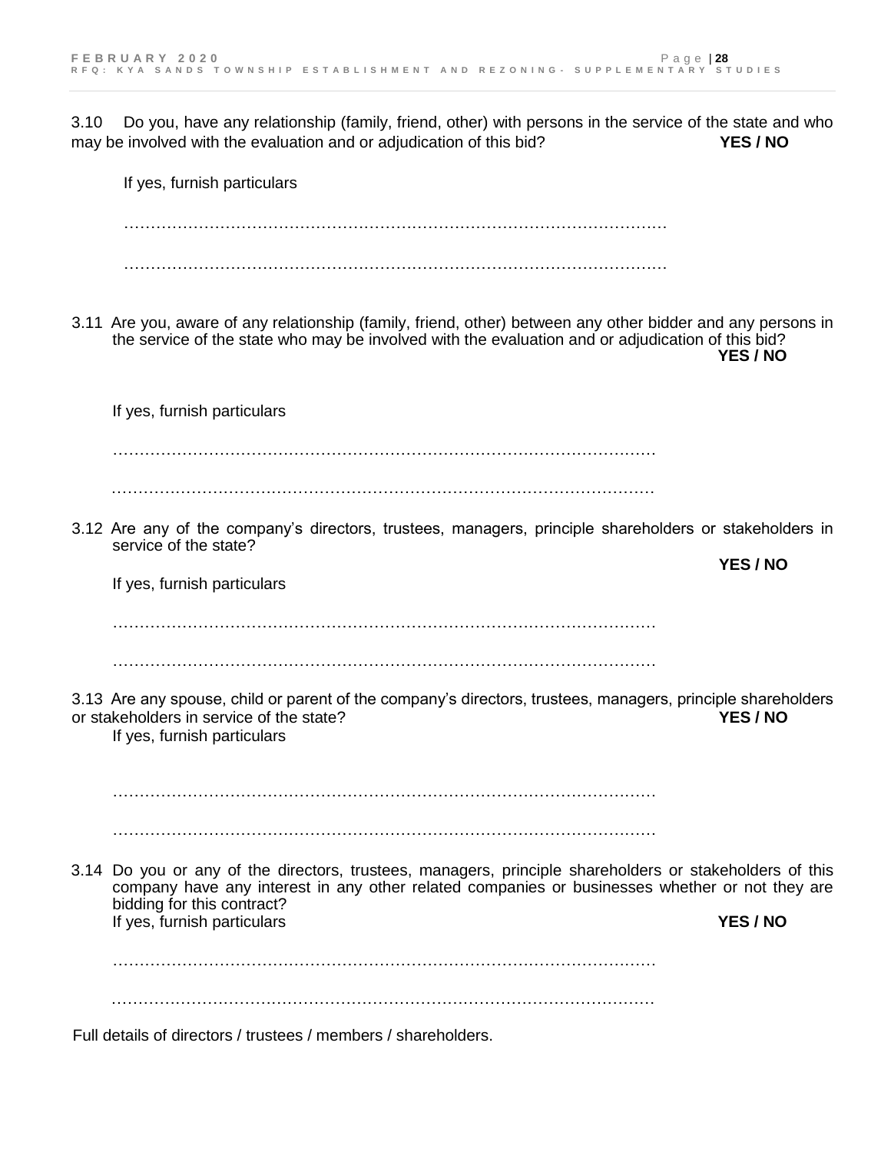3.10 Do you, have any relationship (family, friend, other) with persons in the service of the state and who may be involved with the evaluation and or adjudication of this bid? **YES / NO**

If yes, furnish particulars  $\mathcal{L}^{\text{max}}_{\text{max}}$ ………………………………………………………………………………………… 3.11 Are you, aware of any relationship (family, friend, other) between any other bidder and any persons in the service of the state who may be involved with the evaluation and or adjudication of this bid?  **YES / NO** If yes, furnish particulars ………………………………………………………………………………………… ………………………………………………………………………………………… 3.12 Are any of the company's directors, trustees, managers, principle shareholders or stakeholders in service of the state? **YES / NO** If yes, furnish particulars  $\mathcal{L}^{\text{max}}_{\text{max}}$ ………………………………………………………………………………………… 3.13 Are any spouse, child or parent of the company's directors, trustees, managers, principle shareholders or stakeholders in service of the state? **YES / NO** If yes, furnish particulars  $\mathcal{L}^{\text{max}}_{\text{max}}$ ………………………………………………………………………………………… 3.14 Do you or any of the directors, trustees, managers, principle shareholders or stakeholders of this company have any interest in any other related companies or businesses whether or not they are bidding for this contract? If yes, furnish particulars **YES / NO**  $\mathcal{L}^{\text{max}}_{\text{max}}$ ………………………………………………………………………………………… Full details of directors / trustees / members / shareholders.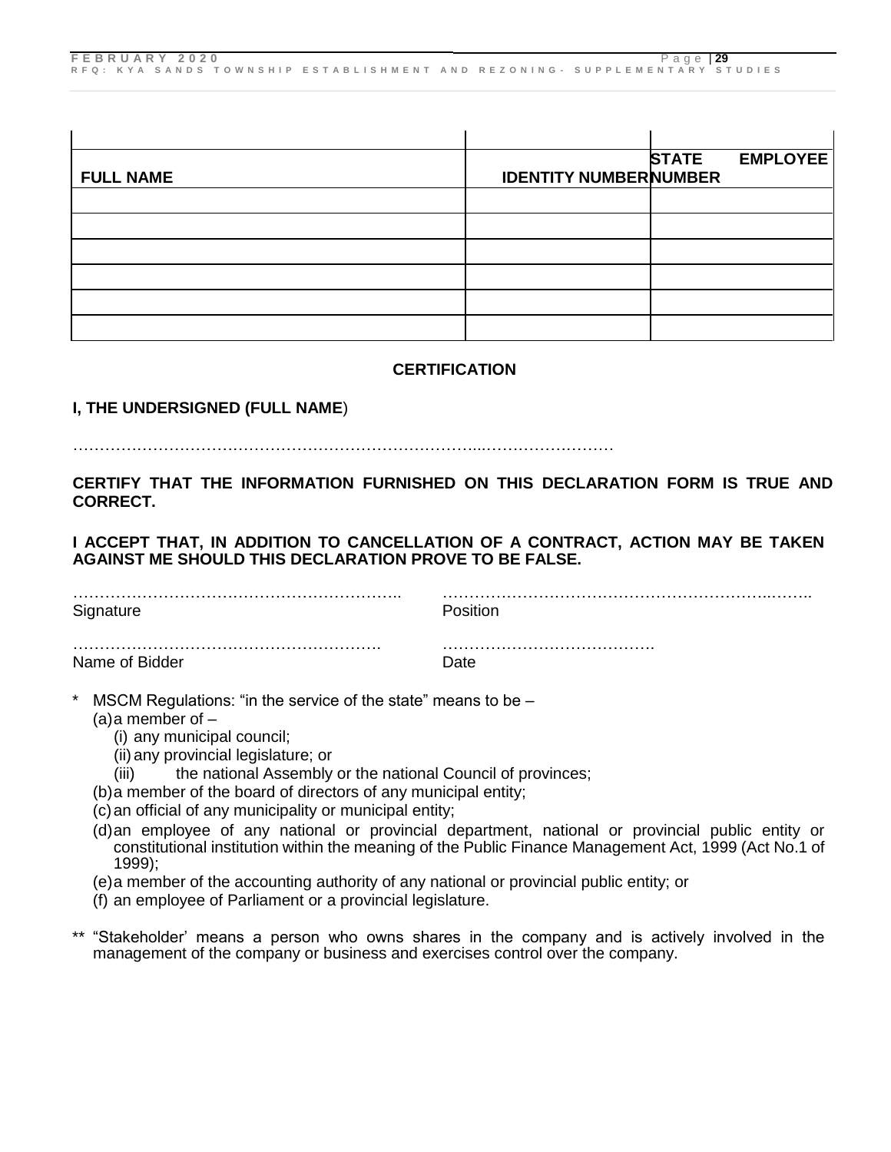|                  |                              | <b>STATE</b> | <b>EMPLOYEE</b> |
|------------------|------------------------------|--------------|-----------------|
| <b>FULL NAME</b> | <b>IDENTITY NUMBERNUMBER</b> |              |                 |
|                  |                              |              |                 |
|                  |                              |              |                 |
|                  |                              |              |                 |
|                  |                              |              |                 |
|                  |                              |              |                 |
|                  |                              |              |                 |

#### **CERTIFICATION**

### **I, THE UNDERSIGNED (FULL NAME**)

#### …………………………………………………………………...……………………

#### **CERTIFY THAT THE INFORMATION FURNISHED ON THIS DECLARATION FORM IS TRUE AND CORRECT.**

### **I ACCEPT THAT, IN ADDITION TO CANCELLATION OF A CONTRACT, ACTION MAY BE TAKEN AGAINST ME SHOULD THIS DECLARATION PROVE TO BE FALSE.**

| Signature      | Position |
|----------------|----------|
|                |          |
| Name of Bidder | Date     |

- MSCM Regulations: "in the service of the state" means to be  $-$ 
	- $(a)$ a member of  $-$ 
		- (i) any municipal council;
		- (ii) any provincial legislature; or
		- (iii) the national Assembly or the national Council of provinces;
	- (b)a member of the board of directors of any municipal entity;
	- (c)an official of any municipality or municipal entity;
	- (d)an employee of any national or provincial department, national or provincial public entity or constitutional institution within the meaning of the Public Finance Management Act, 1999 (Act No.1 of 1999);
	- (e)a member of the accounting authority of any national or provincial public entity; or
	- (f) an employee of Parliament or a provincial legislature.
- \*\* "Stakeholder' means a person who owns shares in the company and is actively involved in the management of the company or business and exercises control over the company.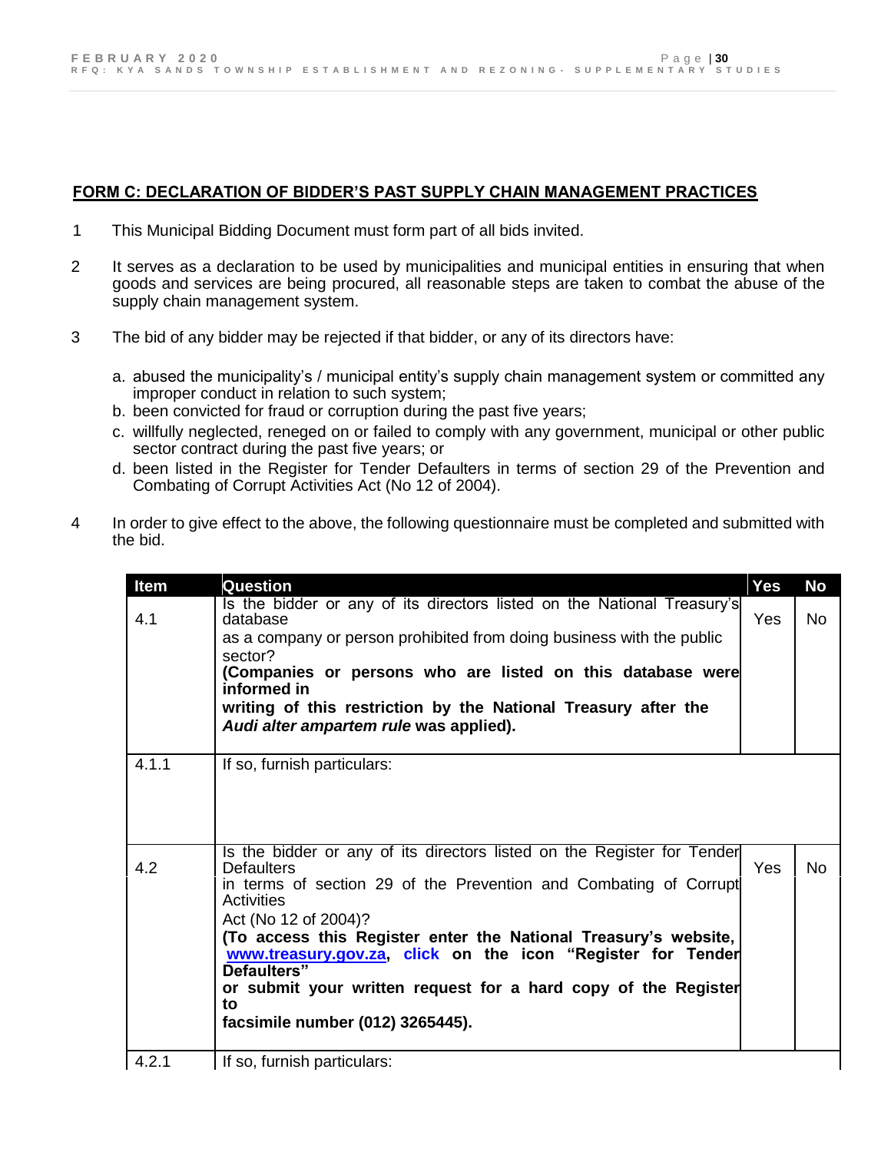# **FORM C: DECLARATION OF BIDDER'S PAST SUPPLY CHAIN MANAGEMENT PRACTICES**

- 1 This Municipal Bidding Document must form part of all bids invited.
- 2 It serves as a declaration to be used by municipalities and municipal entities in ensuring that when goods and services are being procured, all reasonable steps are taken to combat the abuse of the supply chain management system.
- 3 The bid of any bidder may be rejected if that bidder, or any of its directors have:
	- a. abused the municipality's / municipal entity's supply chain management system or committed any improper conduct in relation to such system;
	- b. been convicted for fraud or corruption during the past five years;
	- c. willfully neglected, reneged on or failed to comply with any government, municipal or other public sector contract during the past five years; or
	- d. been listed in the Register for Tender Defaulters in terms of section 29 of the Prevention and Combating of Corrupt Activities Act (No 12 of 2004).
- 4 In order to give effect to the above, the following questionnaire must be completed and submitted with the bid.

| Item  | Question                                                                                                                                                                                                                                                                                                                                                                                                                                                             | Yes | <b>No</b> |
|-------|----------------------------------------------------------------------------------------------------------------------------------------------------------------------------------------------------------------------------------------------------------------------------------------------------------------------------------------------------------------------------------------------------------------------------------------------------------------------|-----|-----------|
| 4.1   | Is the bidder or any of its directors listed on the National Treasury's<br>database<br>as a company or person prohibited from doing business with the public<br>sector?<br>(Companies or persons who are listed on this database were<br>informed in<br>writing of this restriction by the National Treasury after the<br>Audi alter ampartem rule was applied).                                                                                                     | Yes | No.       |
| 4.1.1 | If so, furnish particulars:                                                                                                                                                                                                                                                                                                                                                                                                                                          |     |           |
| 4.2   | Is the bidder or any of its directors listed on the Register for Tender<br><b>Defaulters</b><br>in terms of section 29 of the Prevention and Combating of Corrupt<br>Activities<br>Act (No 12 of 2004)?<br>(To access this Register enter the National Treasury's website,<br>www.treasury.gov.za, click on the icon "Register for Tender<br>Defaulters"<br>or submit your written request for a hard copy of the Register<br>to<br>facsimile number (012) 3265445). | Yes | <b>No</b> |
| 4.2.1 | If so, furnish particulars:                                                                                                                                                                                                                                                                                                                                                                                                                                          |     |           |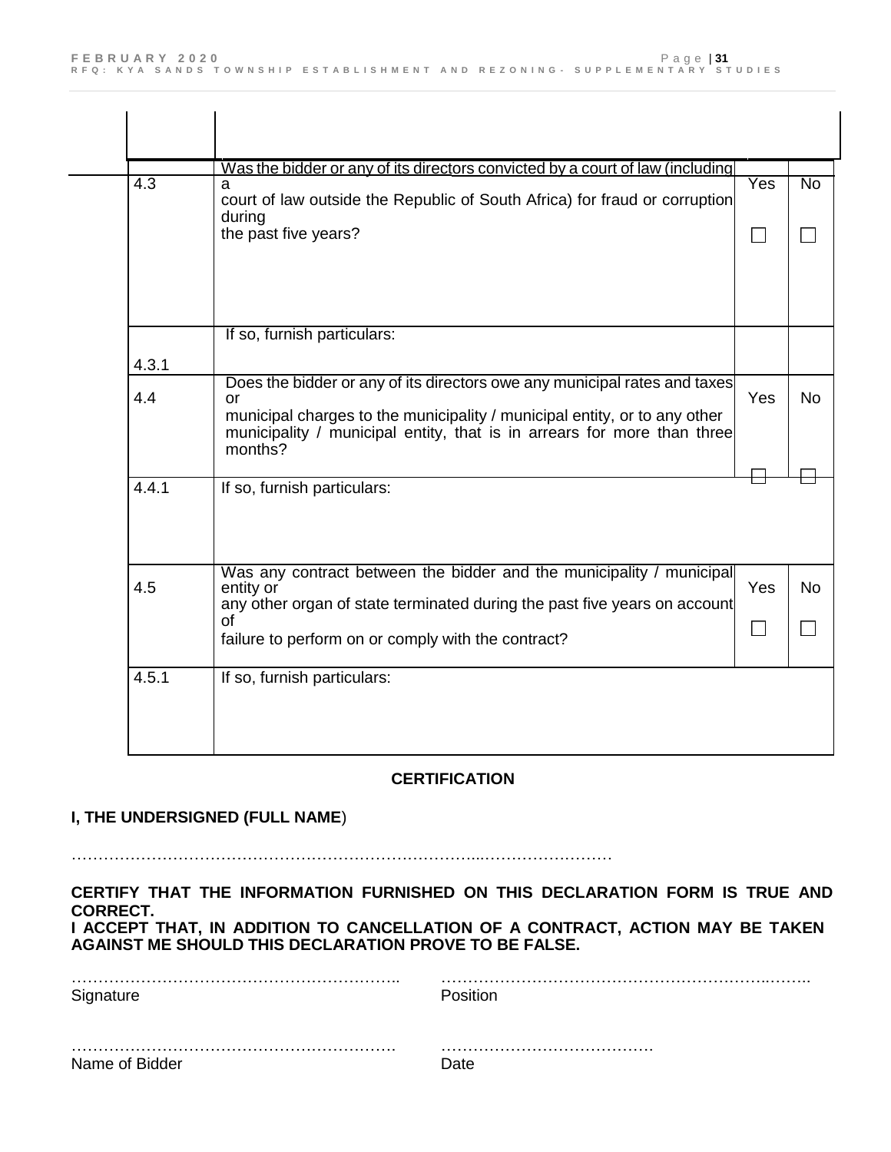| $\overline{4.3}$ | Was the bidder or any of its directors convicted by a court of law (including)<br>a<br>court of law outside the Republic of South Africa) for fraud or corruption     | Yes          | $\overline{No}$ |
|------------------|-----------------------------------------------------------------------------------------------------------------------------------------------------------------------|--------------|-----------------|
|                  | during<br>the past five years?                                                                                                                                        | $\mathsf{I}$ |                 |
|                  | If so, furnish particulars:                                                                                                                                           |              |                 |
| 4.3.1            | Does the bidder or any of its directors owe any municipal rates and taxes                                                                                             |              |                 |
| 4.4              | or<br>municipal charges to the municipality / municipal entity, or to any other<br>municipality / municipal entity, that is in arrears for more than three<br>months? | Yes          | <b>No</b>       |
| 4.4.1            | If so, furnish particulars:                                                                                                                                           |              |                 |
| 4.5              | Was any contract between the bidder and the municipality / municipal<br>entity or                                                                                     | Yes          | <b>No</b>       |
|                  | any other organ of state terminated during the past five years on account<br>οf<br>failure to perform on or comply with the contract?                                 |              |                 |
| 4.5.1            | If so, furnish particulars:                                                                                                                                           |              |                 |

### **CERTIFICATION**

### **I, THE UNDERSIGNED (FULL NAME**)

…………………………………………………………………...……………………

#### **CERTIFY THAT THE INFORMATION FURNISHED ON THIS DECLARATION FORM IS TRUE AND CORRECT. I ACCEPT THAT, IN ADDITION TO CANCELLATION OF A CONTRACT, ACTION MAY BE TAKEN AGAINST ME SHOULD THIS DECLARATION PROVE TO BE FALSE.**

| Signature      | Position |
|----------------|----------|
|                |          |
| Name of Bidder | הR ה     |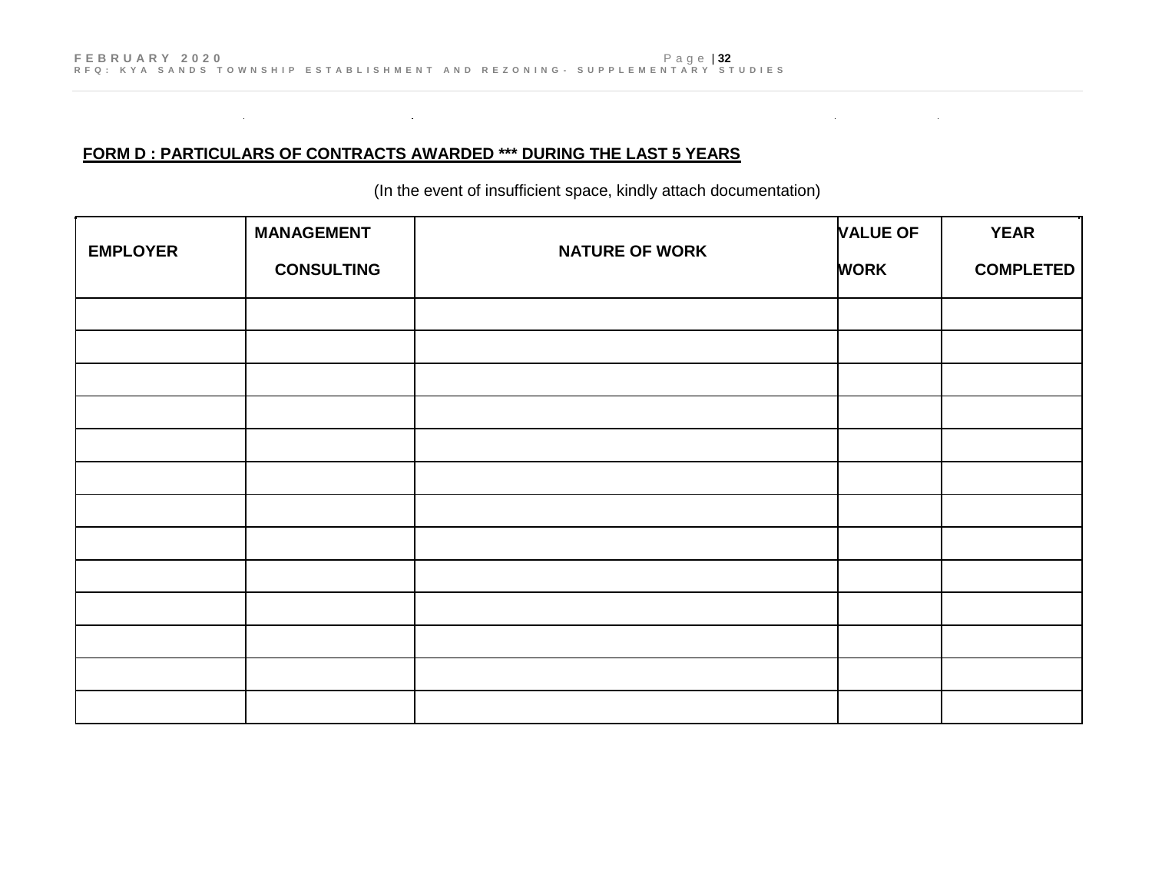### **FORM D : PARTICULARS OF CONTRACTS AWARDED \*\*\* DURING THE LAST 5 YEARS**

 $\mathcal{L}(\mathcal{L}(\mathcal{L}))$  and  $\mathcal{L}(\mathcal{L}(\mathcal{L}))$  and  $\mathcal{L}(\mathcal{L}(\mathcal{L}))$  . Then  $\mathcal{L}(\mathcal{L}(\mathcal{L}))$ 

(In the event of insufficient space, kindly attach documentation)

 $\mathcal{L}^{\mathcal{L}}(\mathcal{L}^{\mathcal{L}})$  and  $\mathcal{L}^{\mathcal{L}}(\mathcal{L}^{\mathcal{L}})$  and  $\mathcal{L}^{\mathcal{L}}(\mathcal{L}^{\mathcal{L}})$ 

| <b>EMPLOYER</b> | <b>MANAGEMENT</b> | <b>NATURE OF WORK</b> | <b>VALUE OF</b> | <b>YEAR</b>      |
|-----------------|-------------------|-----------------------|-----------------|------------------|
|                 | <b>CONSULTING</b> |                       | <b>WORK</b>     | <b>COMPLETED</b> |
|                 |                   |                       |                 |                  |
|                 |                   |                       |                 |                  |
|                 |                   |                       |                 |                  |
|                 |                   |                       |                 |                  |
|                 |                   |                       |                 |                  |
|                 |                   |                       |                 |                  |
|                 |                   |                       |                 |                  |
|                 |                   |                       |                 |                  |
|                 |                   |                       |                 |                  |
|                 |                   |                       |                 |                  |
|                 |                   |                       |                 |                  |
|                 |                   |                       |                 |                  |
|                 |                   |                       |                 |                  |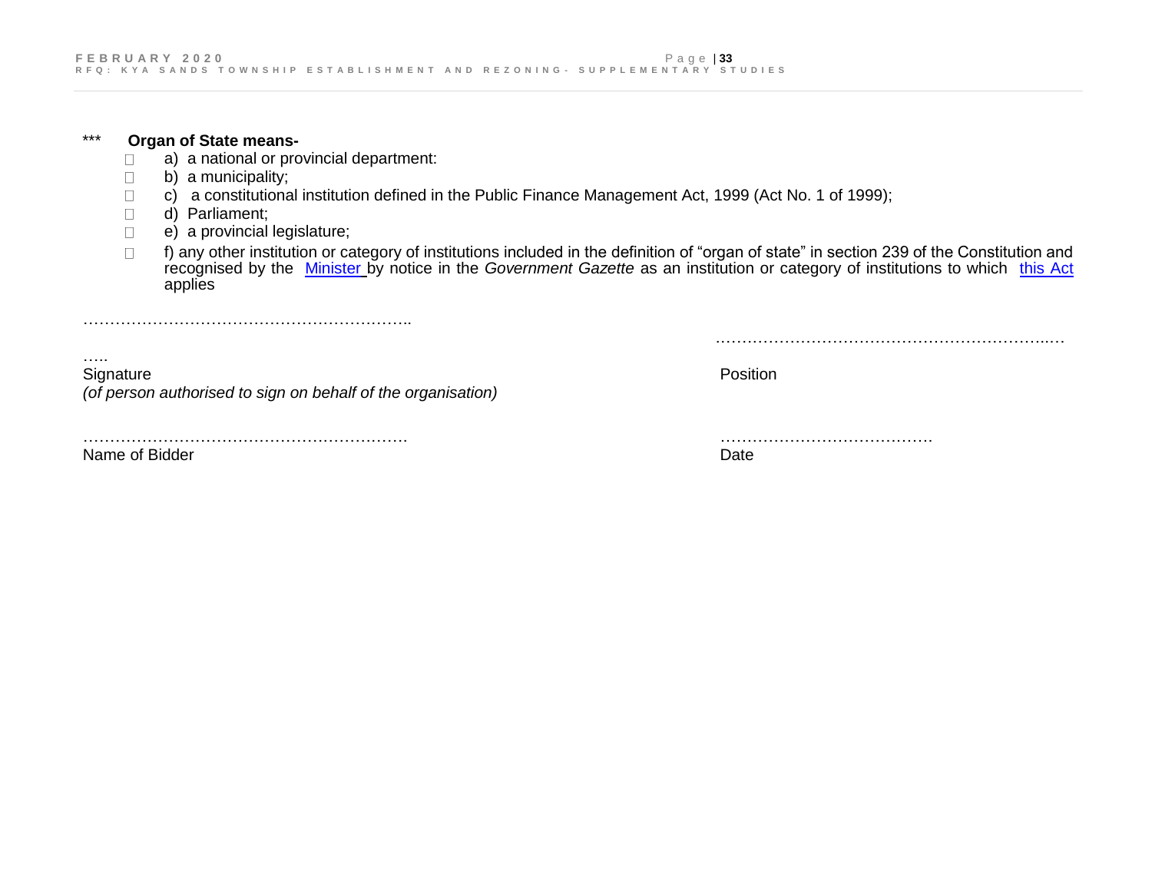#### \*\*\* **Organ of State means-**

- a) a national or provincial department:  $\Box$
- b) a municipality;  $\Box$
- c) a constitutional institution defined in the Public Finance Management Act, 1999 (Act No. 1 of 1999);  $\Box$
- $\Box$ d) Parliament;
- e) a provincial legislature;  $\Box$

……………………………………………………..

 $\Box$ f) any other institution or category of institutions included in the definition of "organ of state" in section 239 of the Constitution and recognised by the [Minister](javascript:void(0);) by notice in the *Government Gazette* as an institution or category of institutions to which [this Act](javascript:void(0);) applies

….. Signature **Position** *(of person authorised to sign on behalf of the organisation)*

……………………………………………………. …………………………………. Name of Bidder **Date** Date of Bidder **Date of Bidder** Date of Bidder **Date of Bidder Date of Bidder Date of Bidder** 

.……………………………………………………..…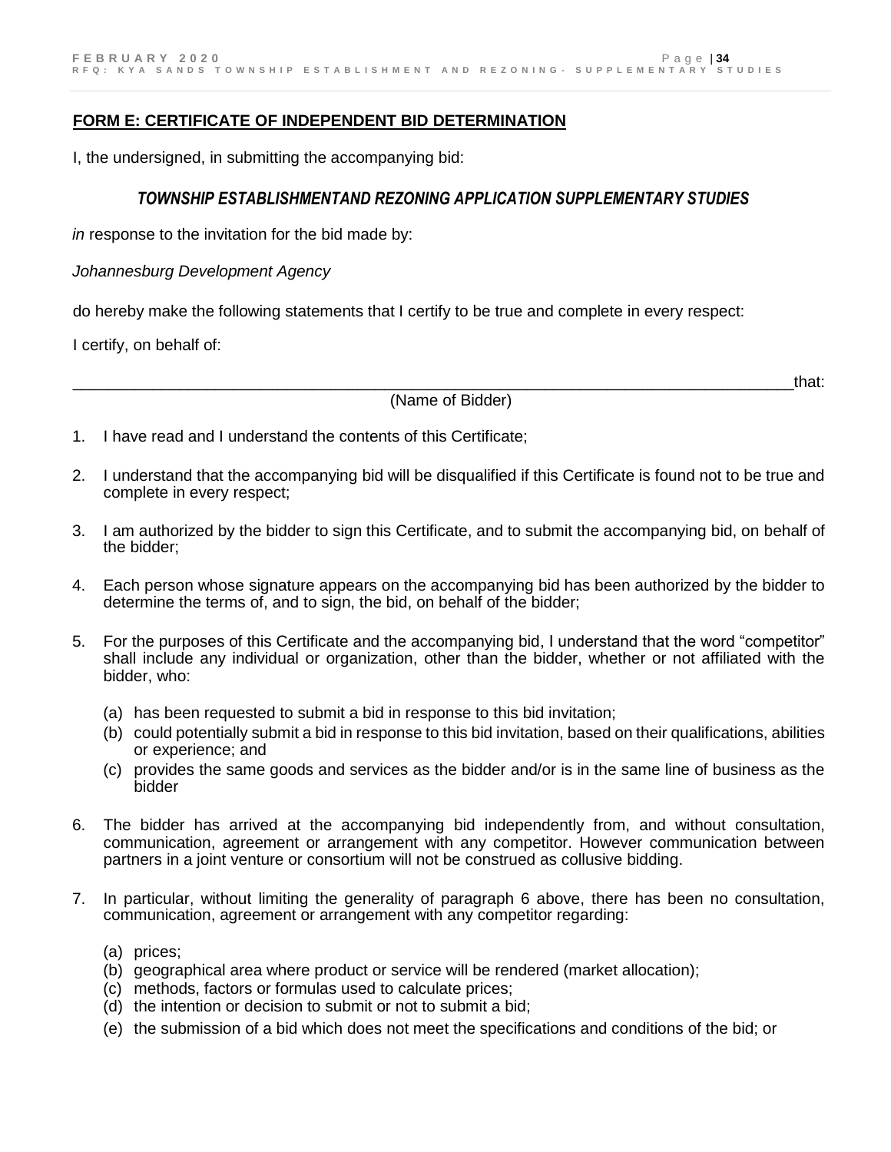#### **FORM E: CERTIFICATE OF INDEPENDENT BID DETERMINATION**

I, the undersigned, in submitting the accompanying bid:

### *TOWNSHIP ESTABLISHMENTAND REZONING APPLICATION SUPPLEMENTARY STUDIES*

*in* response to the invitation for the bid made by:

*Johannesburg Development Agency*

do hereby make the following statements that I certify to be true and complete in every respect:

I certify, on behalf of:

(Name of Bidder)

\_\_\_\_\_\_\_\_\_\_\_\_\_\_\_\_\_\_\_\_\_\_\_\_\_\_\_\_\_\_\_\_\_\_\_\_\_\_\_\_\_\_\_\_\_\_\_\_\_\_\_\_\_\_\_\_\_\_\_\_\_\_\_\_\_\_\_\_\_\_\_\_\_\_\_\_\_\_\_\_\_that:

- 1. I have read and I understand the contents of this Certificate;
- 2. I understand that the accompanying bid will be disqualified if this Certificate is found not to be true and complete in every respect;
- 3. I am authorized by the bidder to sign this Certificate, and to submit the accompanying bid, on behalf of the bidder;
- 4. Each person whose signature appears on the accompanying bid has been authorized by the bidder to determine the terms of, and to sign, the bid, on behalf of the bidder;
- 5. For the purposes of this Certificate and the accompanying bid, I understand that the word "competitor" shall include any individual or organization, other than the bidder, whether or not affiliated with the bidder, who:
	- (a) has been requested to submit a bid in response to this bid invitation;
	- (b) could potentially submit a bid in response to this bid invitation, based on their qualifications, abilities or experience; and
	- (c) provides the same goods and services as the bidder and/or is in the same line of business as the bidder
- 6. The bidder has arrived at the accompanying bid independently from, and without consultation, communication, agreement or arrangement with any competitor. However communication between partners in a joint venture or consortium will not be construed as collusive bidding.
- 7. In particular, without limiting the generality of paragraph 6 above, there has been no consultation, communication, agreement or arrangement with any competitor regarding:
	- (a) prices;
	- (b) geographical area where product or service will be rendered (market allocation);
	- (c) methods, factors or formulas used to calculate prices;
	- (d) the intention or decision to submit or not to submit a bid;
	- (e) the submission of a bid which does not meet the specifications and conditions of the bid; or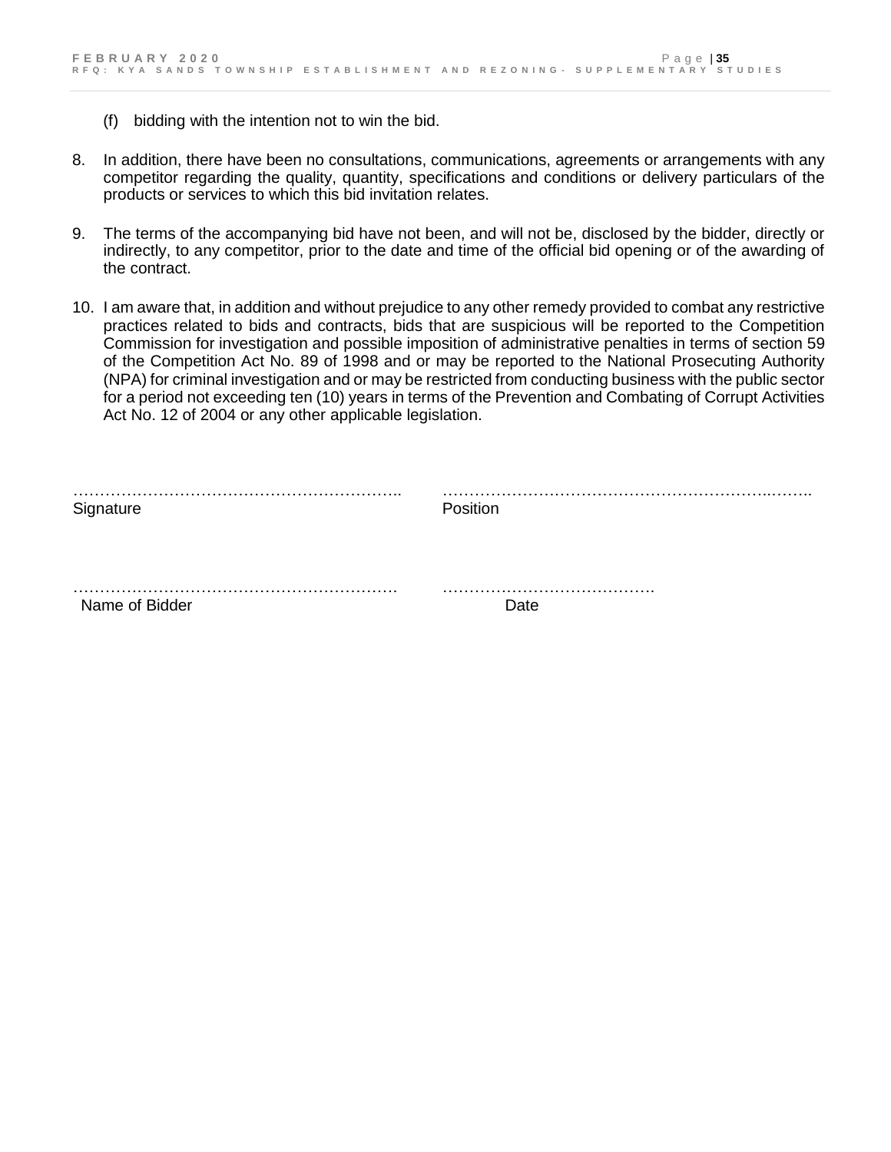- (f) bidding with the intention not to win the bid.
- 8. In addition, there have been no consultations, communications, agreements or arrangements with any competitor regarding the quality, quantity, specifications and conditions or delivery particulars of the products or services to which this bid invitation relates.
- 9. The terms of the accompanying bid have not been, and will not be, disclosed by the bidder, directly or indirectly, to any competitor, prior to the date and time of the official bid opening or of the awarding of the contract.
- 10. I am aware that, in addition and without prejudice to any other remedy provided to combat any restrictive practices related to bids and contracts, bids that are suspicious will be reported to the Competition Commission for investigation and possible imposition of administrative penalties in terms of section 59 of the Competition Act No. 89 of 1998 and or may be reported to the National Prosecuting Authority (NPA) for criminal investigation and or may be restricted from conducting business with the public sector for a period not exceeding ten (10) years in terms of the Prevention and Combating of Corrupt Activities Act No. 12 of 2004 or any other applicable legislation.

| Signature      | Position |
|----------------|----------|
|                |          |
| Name of Bidder | Date     |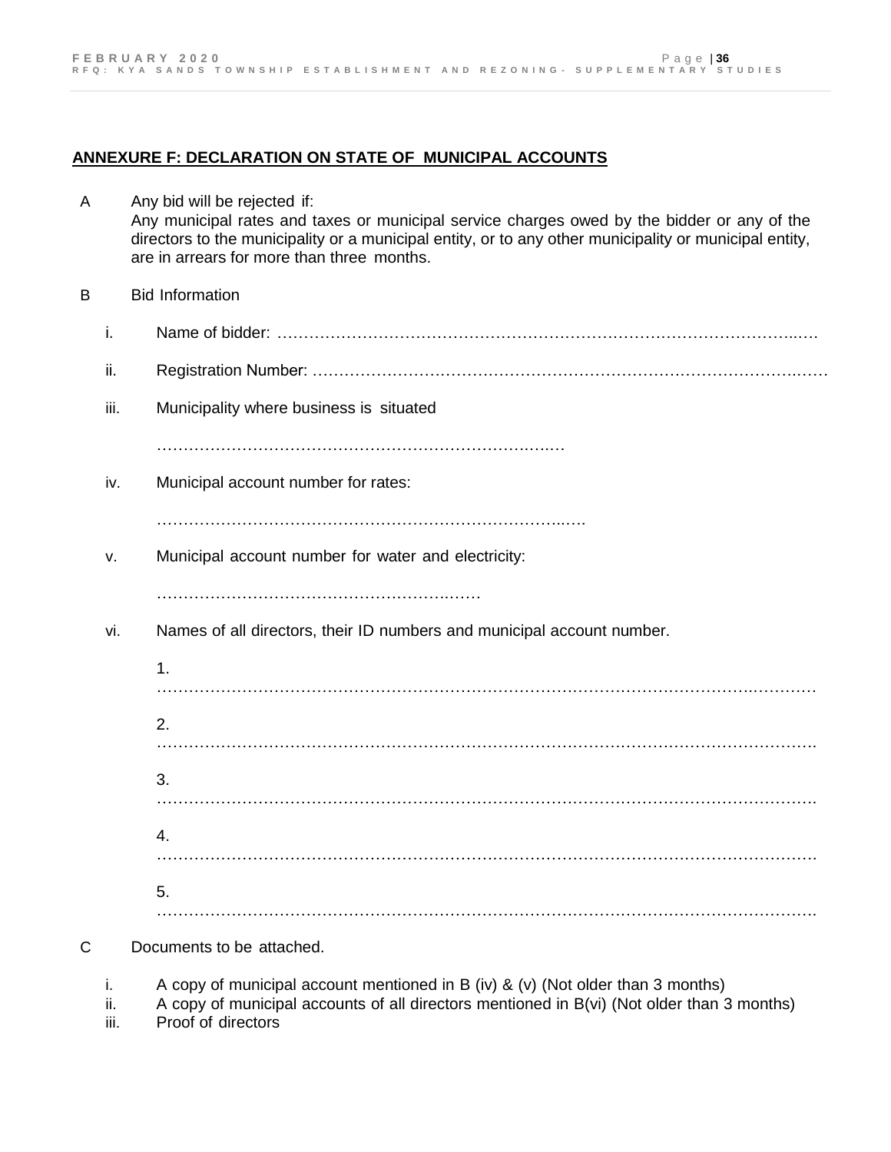#### **ANNEXURE F: DECLARATION ON STATE OF MUNICIPAL ACCOUNTS**

- A Any bid will be rejected if: Any municipal rates and taxes or municipal service charges owed by the bidder or any of the directors to the municipality or a municipal entity, or to any other municipality or municipal entity, are in arrears for more than three months. B Bid Information i. Name of bidder: ……………………………………………………………………………………..…. ii. Registration Number: ……………………………………………………………………………….…… iii. Municipality where business is situated …………………………………………………………….….… iv. Municipal account number for rates: …………………………………………………………………..…. v. Municipal account number for water and electricity: …………………………………………………………………………… vi. Names of all directors, their ID numbers and municipal account number. 1. . The contract of the contract of the contract of the contract of the contract of the contract of the contract of the contract of the contract of the contract of the contract of the contract of the contract of the contrac 2. ……………………………………………………………………………………………………………. 3. ……………………………………………………………………………………………………………. 4. ……………………………………………………………………………………………………………. 5.  $\mathcal{L}^{\text{max}}_{\text{max}}$
- C Documents to be attached.
	- i. A copy of municipal account mentioned in B (iv) & (v) (Not older than 3 months)
	- ii. A copy of municipal accounts of all directors mentioned in B(vi) (Not older than 3 months)
	- iii. Proof of directors